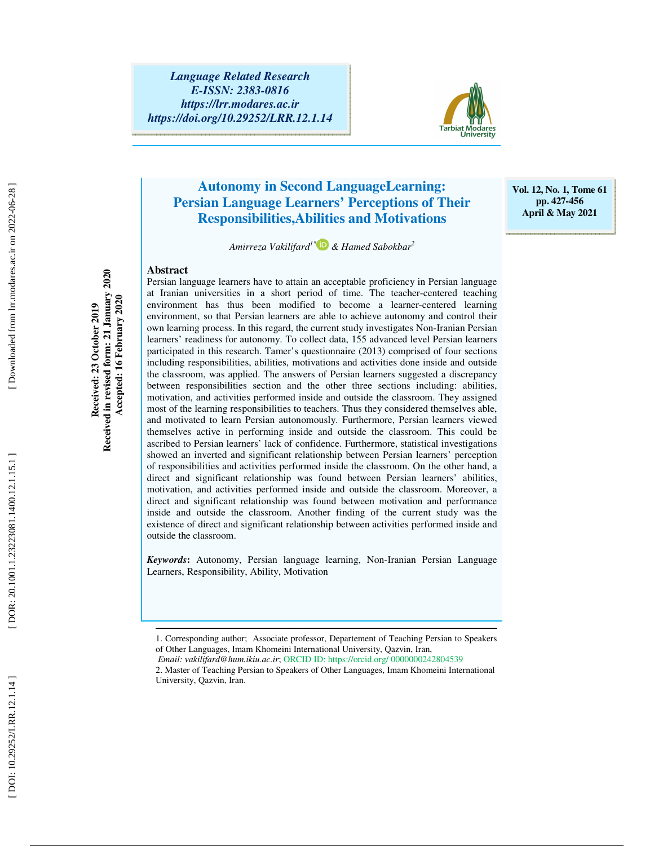

# **Autonomy in Second LanguageLearning: Persian Language Learners' Perceptions of Their Responsibilities,Abilities and Motivations**

**Vol. 12, No. 1, Tome 61 pp. 427-456 April & May 2021** 

*Amirreza Vakilifard1\* & Hamed Sabokbar<sup>2</sup>*

#### **Abstract**

Persian language learners have to attain an acceptable proficiency in Persian language at Iranian universities in a short period of time. The teacher-centered teaching environment has thus been modified to become a learner-centered learning environment, so that Persian learners are able to achieve autonomy and control their own learning process. In this regard, the current study investigates Non-Iranian Persian learners' readiness for autonomy. To collect data, 155 advanced level Persian learners participated in this research. Tamer's questionnaire (2013) comprised of four sections including responsibilities, abilities, motivations and activities done inside and outside the classroom, was applied. The answers of Persian learners suggested a discrepancy between responsibilities section and the other three sections including: abilities, motivation, and activities performed inside and outside the classroom. They assigned most of the learning responsibilities to teachers. Thus they considered themselves able, and motivated to learn Persian autonomously. Furthermore, Persian learners viewed themselves active in performing inside and outside the classroom. This could be ascribed to Persian learners' lack of confidence. Furthermore, statistical investigations showed an inverted and significant relationship between Persian learners' perception of responsibilities and activities performed inside the classroom. On the other hand, a direct and significant relationship was found between Persian learners' abilities, motivation, and activities performed inside and outside the classroom. Moreover, a direct and significant relationship was found between motivation and performance inside and outside the classroom. Another finding of the current study was the existence of direct and significant relationship between activities performed inside and outside the classroom.

*Keywords* **:** Autonomy, Persian language learning, Non-Iranian Persian Language Learners, Responsibility, Ability, Motivation

ــــــــــــــــــــــــــــــــــــــــــــــــــــــــــــــــــــــــــــــــــــــــــــــــــــــــــــــــــــــــــــــــــــــــــ

Received in revised form: 21 January 2020<br>Accepted: 16 February 2020 **Received in revised form: 21 January 2020 Accepted: 16 February 2020 Received: 23 October 2019**  Received: 23 October 2019

<sup>1.</sup> Corresponding author; Associate professor, Departement of Teaching Persian to Speakers of Other Languages, Imam Khomeini International University, Qazvin, Iran,  *Email: vakilifard@hum.ikiu.ac.ir*; ORCID ID: https://orcid.org/ 0000000242804539

<sup>2.</sup> Master of Teaching Persian to Speakers of Other Languages, Imam Khomeini International University, Qazvin, Iran.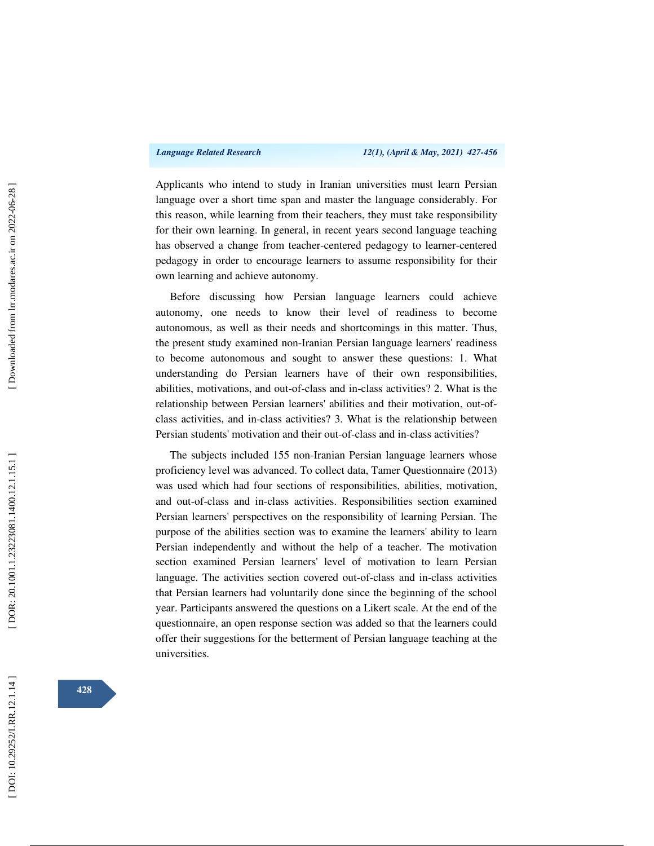Applicants who intend to study in Iranian universities must learn Persian language over a short time span and master the language considerably. For this reason, while learning from their teachers, they must take responsibility for their own learning. In general, in recent years second language teaching has observed a change from teacher-centered pedagogy to learner-centered pedagogy in order to encourage learners to assume responsibility for their own learning and achieve autonomy.

Before discussing how Persian language learners could achieve autonomy, one needs to know their level of readiness to become autonomous, as well as their needs and shortcomings in this matter. Thus, the present study examined non-Iranian Persian language learners' readiness to become autonomous and sought to answer these questions: 1. What understanding do Persian learners have of their own responsibilities, abilities, motivations, and out-of-class and in-class activities? 2. What is the relationship between Persian learners' abilities and their motivation, out-ofclass activities, and in-class activities? 3. What is the relationship between Persian students' motivation and their out-of-class and in-class activities?

The subjects included 155 non-Iranian Persian language learners whose proficiency level was advanced. To collect data, Tamer Questionnaire (2013) was used which had four sections of responsibilities, abilities, motivation, and out-of-class and in-class activities. Responsibilities section examined Persian learners' perspectives on the responsibility of learning Persian. The purpose of the abilities section was to examine the learners' ability to learn Persian independently and without the help of a teacher. The motivation section examined Persian learners' level of motivation to learn Persian language. The activities section covered out-of-class and in-class activities that Persian learners had voluntarily done since the beginning of the school year. Participants answered the questions on a Likert scale. At the end of the questionnaire, an open response section was added so that the learners could offer their suggestions for the betterment of Persian language teaching at the universities.

**428**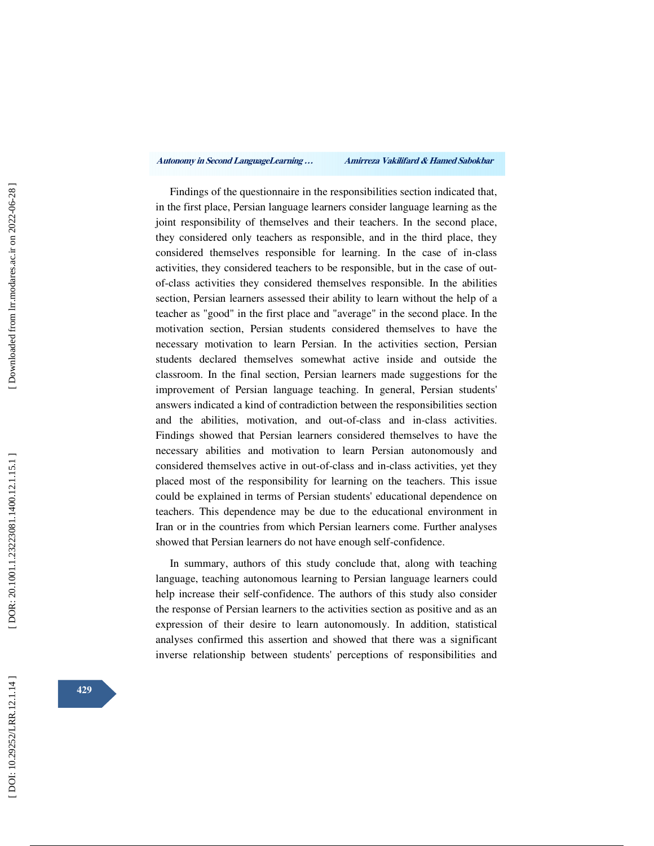Findings of the questionnaire in the responsibilities section indicated that, in the first place, Persian language learners consider language learning as the joint responsibility of themselves and their teachers. In the second place, they considered only teachers as responsible, and in the third place, they considered themselves responsible for learning. In the case of in-class activities, they considered teachers to be responsible, but in the case of outof-class activities they considered themselves responsible. In the abilities section, Persian learners assessed their ability to learn without the help of a teacher as "good" in the first place and "average" in the second place. In the motivation section, Persian students considered themselves to have the necessary motivation to learn Persian. In the activities section, Persian students declared themselves somewhat active inside and outside the classroom. In the final section, Persian learners made suggestions for the improvement of Persian language teaching. In general, Persian students' answers indicated a kind of contradiction between the responsibilities section and the abilities, motivation, and out-of-class and in-class activities. Findings showed that Persian learners considered themselves to have the necessary abilities and motivation to learn Persian autonomously and considered themselves active in out-of-class and in-class activities, yet they placed most of the responsibility for learning on the teachers. This issue could be explained in terms of Persian students' educational dependence on teachers. This dependence may be due to the educational environment in Iran or in the countries from which Persian learners come. Further analyses showed that Persian learners do not have enough self-confidence.

In summary, authors of this study conclude that, along with teaching language, teaching autonomous learning to Persian language learners could help increase their self-confidence. The authors of this study also consider the response of Persian learners to the activities section as positive and as an expression of their desire to learn autonomously. In addition, statistical analyses confirmed this assertion and showed that there was a significant inverse relationship between students' perceptions of responsibilities and

**429**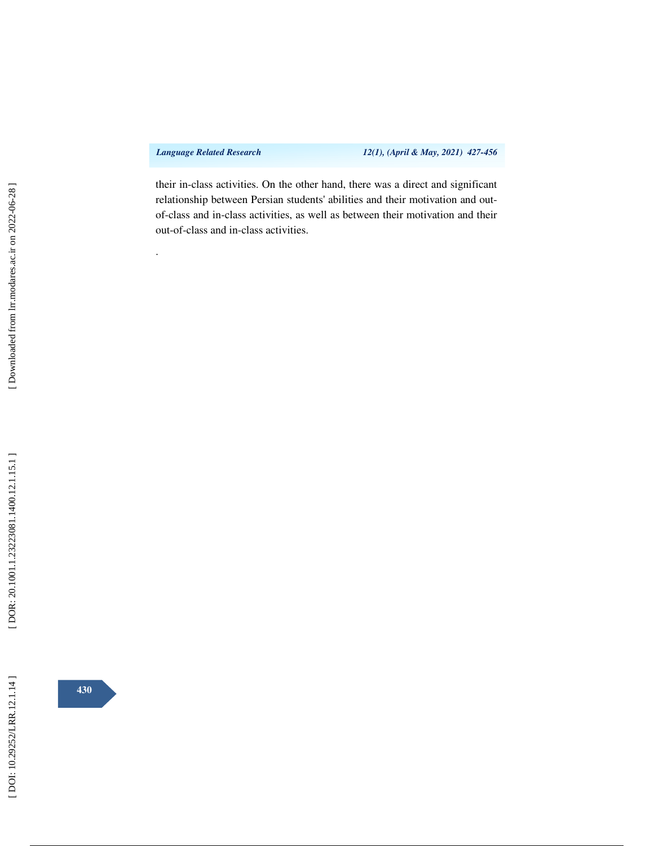.

*Language Related Research 12(1), (April & May, 2021) 427-456* 

their in-class activities. On the other hand, there was a direct and significant relationship between Persian students' abilities and their motivation and outof-class and in-class activities, as well as between their motivation and their out-of-class and in-class activities.

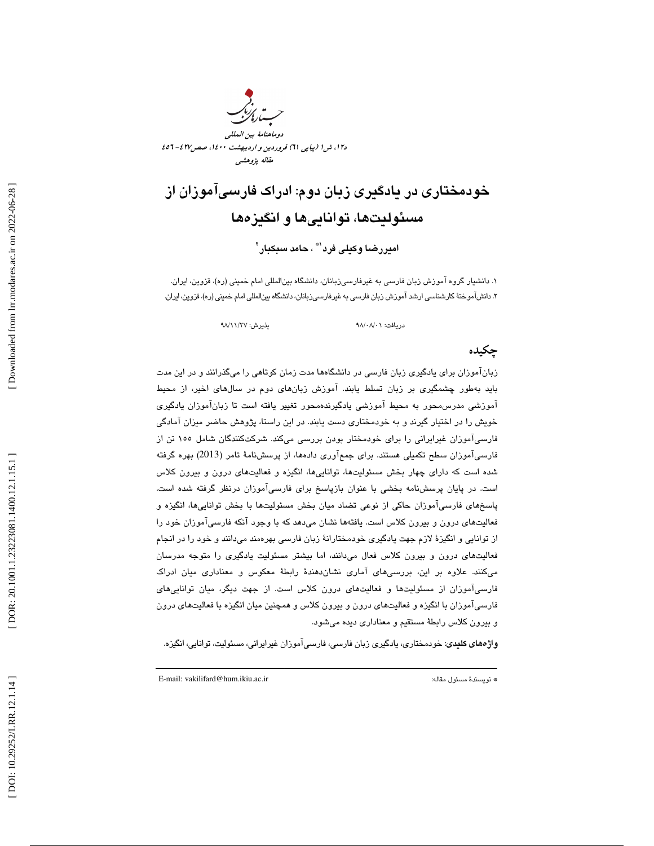د،12 ش 1 (پياپي 61) فروردين و ارديبهشت ،1400 صص427 - 456 مقاله پژوهشي

# خودمختاري در يادگيري زبان دوم: ادراك فارسيآموزان از مسئوليتها، تواناييها و انگيزه ها

ام**یررضا وکیلی فرد<sup>\\*</sup> ، حامد سبکبار<sup>۲</sup>** 

. دانشيار گروه آموزش زبان فارسي به غيرفارسيزبانان، دانشگاه بينالمللي امام خميني (ره)، قزوين، ايران. 1 ٢. دانش!موختهٔ کارشناسی ارشد اموزش زبان فارسی به غیرفارسیزبانان، دانشگاه بینالمللی امام خمینی (ره)، قزوین، ایران.

دريافت: 01/ 08/ 98 پذيرش: 27/ 11/ 98

# چكيده

زبانآموزان براي يادگيري زبان فارسي در دانشگاهها مدت زمان كوتاهي را ميگذرانند و در اين مدت بايد بهطور چشمگيري بر زبان تسلط يابند. آموزش زبانهاي دوم در سالهاي اخير، از محيط آموزشي مدرسمحور به محيط آموزشي يادگيرندهمحور تغيير يافته است تا زبانآموزان يادگيري خويش را در اختيار گيرند و به خودمختاري دست يابند. در اين راستا، پژوهش حاضر ميزان آمادگي فارسيآموزان غيرايراني را براي خودمختار بودن بررسي ميكند. شركتكنندگان شامل 155 تن از فارسيآموزان سطح تكميلي هستند. براي جمعآوري دادهها، از پرسشنامة تامر (2013) بهره گرفته شده است كه داراي چهار بخش مسئوليتها، تواناييها، انگيزه و فعاليتهاي درون و بيرون كلاس است. در پايان پرسشنامه بخشي با عنوان بازپاسخ براي فارسيآموزان درنظر گرفته شده است. پاسخهاي فارسيآموزان حاكي از نوعي تضاد ميان بخش مسئوليتها با بخش تواناييها، انگيزه و فعاليتهاي درون و بيرون كلاس است. يافتهها نشان ميدهد كه با وجود آنكه فارسيآموزان خود را از توانايي و انگيزة لازم جهت يادگيري خودمختارانة زبان فارسي بهرهمند ميدانند و خود را در انجام فعاليتهاي درون و بيرون كلاس فعال ميدانند، اما بيشتر مسئوليت يادگيري را متوجه مدرسان ميكنند. علاوه بر اين، بررسيهاي آماري نشاندهندة رابطة معكوس و معناداري ميان ادراك فارسيآموزان از مسئوليتها و فعاليتهاي درون كلاس است. از جهت ديگر، ميان تواناييهاي فارسيآموزان با انگيزه و فعاليتهاي درون و بيرون كلاس و همچنين ميان انگيزه با فعاليتهاي درون و بيرون كلاس رابطة مستقيم و معناداري ديده ميشود.

**واژههای کلیدی**: خودمختاری، یادگیری زبان فارسی، فارسیآموزان غیرایرانی، مسئولیت، توانایی، انگیزه.

ــــــــــــــــــــــــــــــــــــــــــــــــــــــــــــــــــــــــــــــــــــــــــــــــــــــــــــــــــــــــــــــــــــــــــ

E-mail: vakilifard@hum.ikiu.ac.ir :مقاله مسئول نويسندة\*

[ DOI: 10.29252/LRR.12.1.14 ] [\[ DOR: 20.1001.1.23223081.1400.12.1.15.](https://dorl.net/dor/20.1001.1.23223081.1400.12.1.15.1)1 ] [\[ Downloaded from lrr.modares.ac.ir on 20](https://lrr.modares.ac.ir/article-14-37492-fa.html)22-06-28 ] Downloaded from lrr.modares.ac.ir on 2022-06-28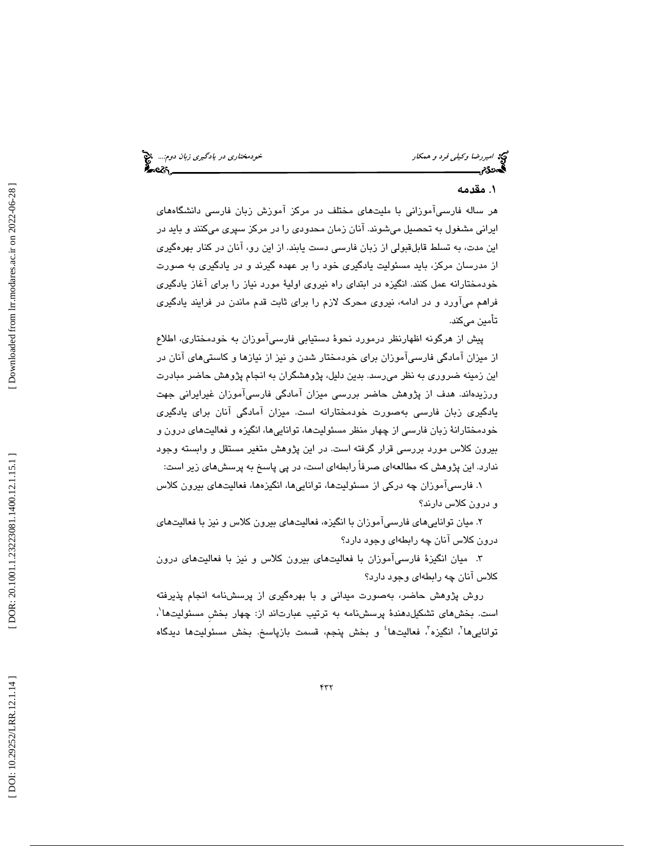# . مقدمه 1

هر ساله فارسيآموزاني با مليتهاي مختلف در مركز آموزش زبان فارسي دانشگاههاي ايراني مشغول به تحصيل ميشوند. آنان زمان محدودي را در مركز سپري ميكنند و بايد در اين مدت، به تسلط قابلقبولي از زبان فارسي دست يابند. از اين رو، آنان در كنار بهرهگيري از مدرسان مركز، بايد مسئوليت يادگيري خود را بر عهده گيرند و در يادگيري به صورت خودمختارانه عمل كنند. انگيزه در ابتداي راه نيروي اولية مور د نياز را براي آغاز يادگيري فراهم ميآورد و در ادامه، نيروي محرك لازم را براي ثابت قدم ماندن در فرايند يادگيري تأمين ميكند.

پيش از هرگونه اظهارنظر درمورد نحوة دستيابي فارسيآموزان به خودمختاري، اطلاع از ميزان آمادگي فارسيآموزان براي خودمختار شدن و نيز از نيازها و كاستيهاي آنان در اين زمينه ضروري به نظر ميرسد. بدين دليل، پژوهشگران به انجام پژوهش حاضر مبادرت ورزيدهاند. هدف از پژوهش حاضر بررسي ميزان آمادگي فارسيآموزان غيرايراني جهت يادگيري زبان فارسي به صورت خودمختارانه است. ميزان آمادگي آنان براي يادگيري خودمختارانة زبان فارسي از چهار منظر مسئوليتها، تواناييها، انگيزه و فعاليتهاي درون و بيرون كلاس مورد بررسي قرار گرفته است. در اين پژوهش متغير مستقل و وابسته وجود ندارد. اين پژوهش كه مطالعه اي صرفاً رابطه اي است، در پي پاسخ به پرسشهاي زير است:

. فارسيآموزان چه دركي از مسئوليتها، تواناييها، انگيزهها، فعاليتهاي بيرون كلاس 1 و درون كلاس دارند؟

. ميان تواناييهاي فارسيآموزان با انگيزه، فعاليتهاي بيرون كلاس و نيز با فعاليتهاي 2 درون كلاس آنان چه رابطهاي وجود دارد؟

 . ميان انگيزة فارسيآموزان با فعاليتهاي بيرون كلاس و نيز با فعاليتهاي درون 3 كلاس آنان چه رابطهاي وجود دارد؟

روش پژوهش حاضر، بهصورت ميداني و با بهرهگيري از پرسشنامه انجام پذيرفته است. بخشهای تشکیلدهندهٔ پرسشنامه به ترتیب عبارتاند از: چهار بخش مسئولیتها<sup>۰</sup>، توانایی۱ها<sup>۲</sup>، انگیزه<sup>۳</sup>، فعالیت۱هأ و بخش پنجم، قسمت بازپاسخ. بخش مسئولیت۱ه دیدگاه<br>.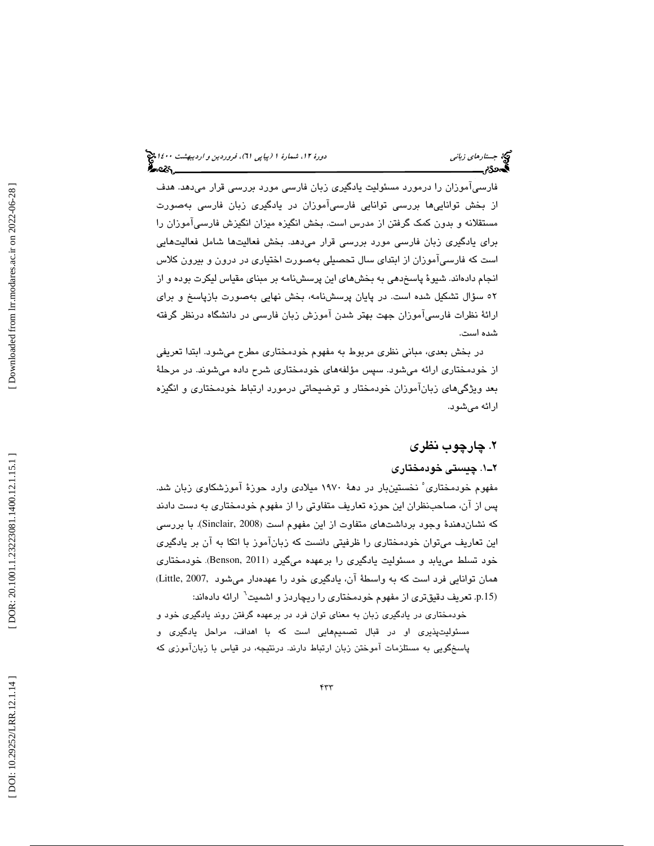فارسيآموزان را درمورد مسئوليت يادگيري زبان فارسي مورد بررسي قرار ميدهد. هدف از بخش تواناييها بررسي توانايي فارسيآموزان در يادگيري زبان فارسي بهصورت مستقلانه و بدون كمك گرفتن از مدرس است. بخش انگيزه ميزان انگيزش فارسيآموزان را براي يادگيري زبان فارسي مورد بررسي قرار ميدهد. بخش فعاليتها شامل فعاليتهايي است كه فارسيآموزان از ابتداي سال تحصيلي بهصورت اختياري در درون و بيرون كلاس انجام دادهاند. شيوهٔ پاسخدهي به بخشهاي اين پرسشنامه بر مبناي مقياس ليكرت بوده و از 52 سؤال تشكيل شده است . در پايان پرسشنامه، بخش نهايي بهصورت بازپاسخ و براي ارائة نظرات فارسيآموزان جهت بهتر شدن آموزش زبان فارسي در دانشگاه درنظر گرفته شده است.

در بخش بعدي، مباني نظري مربوط به مفهوم خودمختاري مطرح ميشود. ابتدا تعريفي از خودمختاري ارائه ميشود. سپس مؤلفههاي خودمختاري شرح داده ميشوند. در مرحلة بعد ويژگيهاي زبانآموزان خودمختار و توضيحاتي درمورد ارتباط خودمختاري و انگيزه ارائه ميشود.

# . چارچوب نظري 2

#### 1ـ2 . چيستي خودمختاري

مفهوم خودمختاری ْ نخستینبار در دههٔ ۱۹۷۰ میلادی وارد حوزهٔ آموزشکاوی زبان شد. پس از آن، صاحبنظران اين حوزه تعاريف متفاوتي را از مفهوم خودمختاري به دست دادند . با بررسي (Sinclair, 2008 كه نشاندهندة وجود برداشتهاي متفاوت از اين مفهوم است ( اين تعاريف ميتوان خودمختاري را ظرفيتي دانست كه زبانآموز با اتكا به آن بر يادگيري خود تسلط میLبابد و مسئولیت یادگیری را برعهده میگیرد (Benson, 2011). خودمختاری همان توانايي فرد است كه به واسطهٔ آن، يادگيري خود را عهدهدار ميشود ,Little, 2007 p.15). تعريف دقيقترى از مفهوم خودمختارى را ريچاردز و اشميت<sup>٦</sup> ارائه دادهاند:

خودمختاري در يادگيري زبان به معناي توان فرد در برعهده گرفتن روند يادگيري خود و مسئوليتپذيري او در قبال تصميمهايي است كه با اهداف، مراحل يادگيري و پاسخگويي به مستلزمات آموختن زبان ارتباط دارند. درنتيجه، در قياس با زبانآموزي كه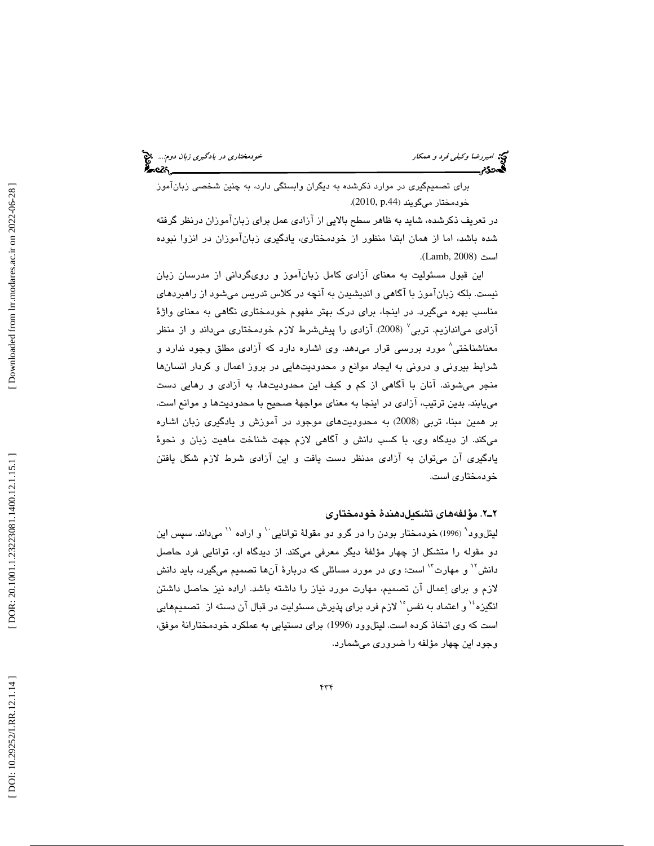امير اسير الحيد العدم و همكار خودمختاري در يادگيري زبان دوم.... اميمه<br>ال**حدد تاريخت خودمختاري در يادي است.**<br>**الحدد تاريخت خودم الله در يادي است.** 

براي تصميمگيري در موارد ذكرشده به ديگران وابستگي دارد، به چنين شخصي زبانآموز . (2010, p.44 خودمختار ميگويند (

در تعريف ذكرشده، شايد به ظاهر سطح بالايي از آزادي عمل براي زبانآموزان درنظر گرفته شده باشد، اما از همان ابتدا منظور از خودمختاری، يادگيری زبانآموزان در انزوا نبوده<br>است (Lamb, 2008).

اين قبول مسئوليت به معناي آزادي كامل زبانآموز و رويگرداني از مدرسان زبان نيست. بلكه زبانآموز با آگاهي و انديشيدن به آنچه در كلاس تدريس ميشود از راهبردهاي مناسب بهره ميگيرد. در اينجا، براي درک بهتر مفهوم خودمختاري نگاهي به معناي واژهٔ آزادی می|ندازیم. تربی<sup>٬</sup> (2008). آزادی را پیششرط لازم خودمختاری میداند و از منظر معناشناختی^ مورد بررسی قرار میدهد. وی اشاره دارد که آزادی مطلق وجود ندارد و شرايط بيروني و دروني به ايجاد موانع و محدوديتهايي در بروز اعمال و كردار انسانها منجر میشوند. انان با اگاهی از کم و کیف این محدودیتها، به ازادی و رهایی دست مييابند. بدين ترتيب، آزادي در اينجا به معناي مواجه ة صحيح با محدوديتها و موانع است. بر همین مبنا، تربی (2008) به محدودیتهای موجود در آموزش و یادگیری زبان اشاره ميكند. از ديدگاه وي، با كسب دانش و آگاهي لازم جهت شناخت ماهيت زبان و نحو ة يادگيري آن ميتوان به آزادي مدنظر دست يافت و اين آزادي شرط لازم شكل يافتن خودمختاري است.

## 2ـ2 . مؤلفههاي تشكيلدهندة خودمختاري

ليتلوود<sup>٩</sup> (1996) خودمختار بودن را در گرو دو مقولهٔ توانايي `` و اراده `` مىداند. سپس اين دو مقوله را متشكل از چهار مؤلفهٔ ديگر معرفي ميكند. از ديدگاه او، توانايي فرد حاصل دانش'` و مهارت'`` است: وي در مورد مسائلي كه دربارهٔ آنها تصميم ميگيرد، بايد دانش لازم و براي اِعمال آن تصميم، مهارت مورد نياز را داشته باشد. اراده نيز حاصل داشتن انگيزه ٔ`` و اعتماد به نفس ْ`` لازم فرد براي پذيرش مسئوليت در قبال آن دسته از تصميمهايي است كه وي اتخاذ كرده است. ليتلوود (1996) براي دستيابي به عملكرد خودمختارانهٔ موفق، وجود اين چهار مؤلفه را ضروري ميشمارد .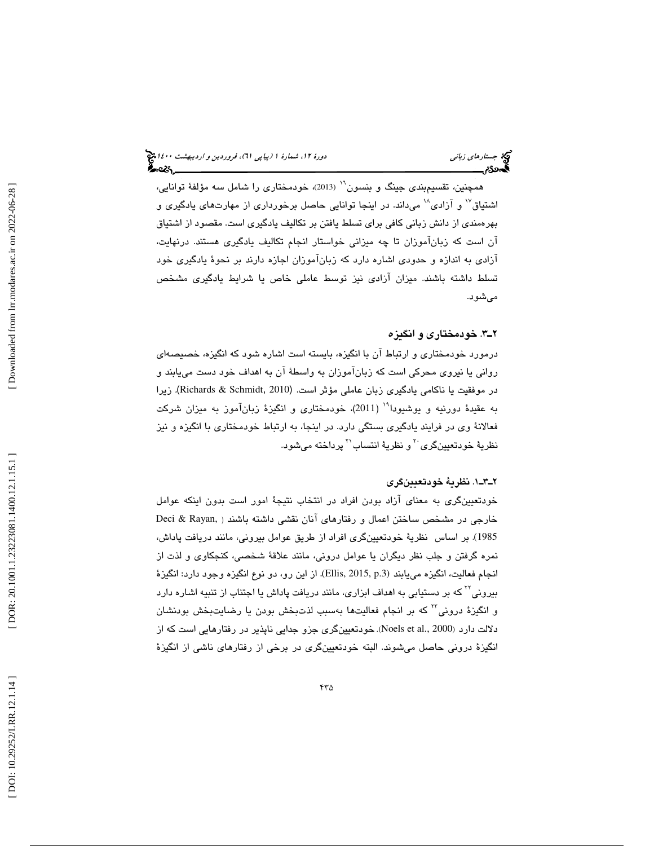همچنين، تقسيمبندي جينگ و بنسون (2013)، خودمختاري را شامل سه مؤلف ة توانايي، <sup>16</sup> اشتياق<sup>٧</sup> و آزادي^` ميداند. در اينجا توانايي حاصل برخورداري از مهارتهاي يادگيري و بهرهمندي از دانش زباني كافي براي تسلط يافتن بر تكاليف يادگيري است. مقصود از اشتياق آن است كه زبانآموزان تا چه ميزاني خواستار انجام تكاليف يادگيري هستند. درنهايت ، آزادي به اندازه و حدودي اشاره دارد كه زبانآموزان اجازه دارند بر نحو ة يادگيري خود تسلط داشته باشند. ميزان آزادي نيز توسط عاملي خاص يا شرايط يادگيري مشخص ميشود.

## 3ـ2 . خودمختاري و انگيزه

درمورد خودمختاري و ارتباط آن با انگيزه، بايسته است اشاره شود كه انگيزه، خصيصهاي رواني يا نيروي محركي است كه زبانآموزان به واسط ة آن به اهداف خود دست مييابند و در موفقيت يا ناكامي يادگيري زبان عاملي مؤثر است. (Richards & Schmidt, 2010). زيرا به عقيدهٔ دورنيه و يوشيودا<sup>٬٬</sup> (2011)، خودمختاري و انگيزهٔ زبانآموز به ميزان شركت فعالانهٔ وي در فرايند يادگيري بستگي دارد. در اينجا، به ارتباط خودمختاري با انگيزه و نيز نظريهٔ خودتعيينگری َ ` و نظريهٔ انتساب'` پرداخته میشود.

#### . 1ـ3ـ2 نظري ة خودتعيينگري

خودتعيينگري به معناي آزاد بودن افراد در انتخاب نتيجهٔ امور است بدون اينكه عوامل Deci & Rayan, خارجي در مشخص ساختن اعمال و رفتارهاي آنان نقشي داشته باشند ( 1985). بر اساس نظریهٔ خودتعیینگری افراد از طریق عوامل بیرونی، مانند دریافت پاداش، نمره گرفتن و جلب نظر ديگران يا عوامل دروني، مانند علاقهٔ شخصي، كنجكاوي و لذت از انجام فعاليت، انگيزه مييابند (.2015, p.3). از اين رو، دو نوع انگيزه وجود دارد: انگيزهٔ بیرونی<sup>۲۲</sup> که بر دستیابی به اهداف ابزاری، مانند دریافت پاداش یا اجتناب از تنبیه اشاره دارد و انگيزهٔ دروني™ كه بر انجام فعاليتها بهسبب لذتبخش بودن يا رضايتبخش بودنشان دلالت دارد (Noels et al., 2000). خودتعیینگری جزو جدایی ناپذیر در رفتارهایی است كه از انگيزهٔ دروني حاصل مي شوند. البته خودتعيينگري در برخي از رفتارهاي ناشي از انگيزهٔ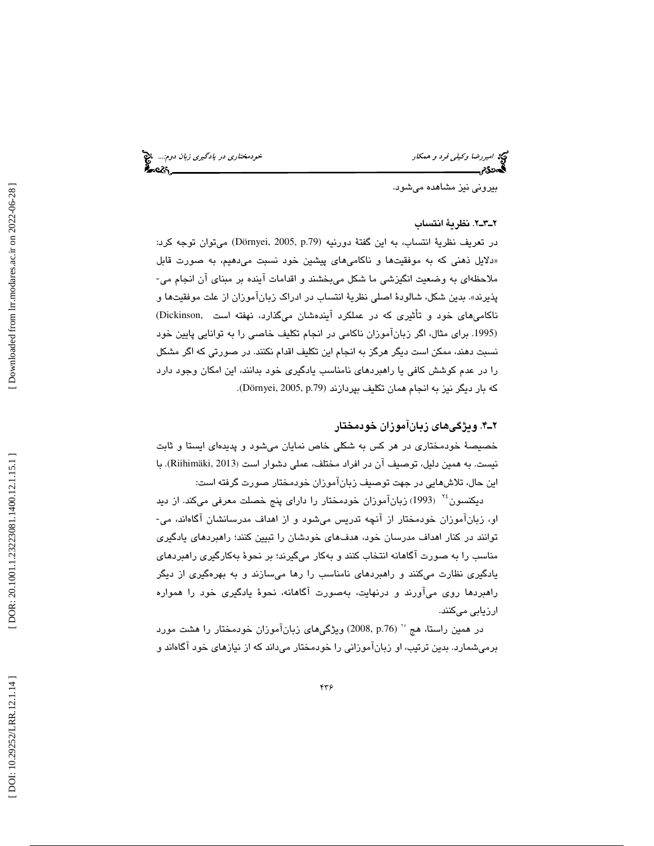امير اسيررضا وكيل*ي فرد و همكار خودمختاري در يادگيري زبان دوم...*. اميمه<br>ال**ميرون خودمختاري خودمختاري به در اين دوم...**<br>**الميردي خودم به استان دوم...** 

بيروني نيز مشاهده ميشود.

#### 2ـ3ـ2 . نظرية انتساب

در تعريف نظرية انتساب، به اين گفتة دورنيه (Dörnyei, 2005, p.79) ميتوان توجه كرد: دلايل ذهني كه به موفقيتها و ناكاميهاي پيشين خود نسبت ميدهيم، به صورت قابل » ملاحظهاي به وضعيت انگيزشي ما شكل ميبخشند و اقدامات آينده بر مبناي آن انجام مي- پذيرند». بدين شكل، شالودهٔ اصلي نظريهٔ انتساب در ادراک زبانآموزان از علت موفقيتها و ناكاميهاي خود و تأثيري كه در عملكر د آيندهشان ميگذارد، نهفته است ,Dickinson( براي مثال ، اگر زبانآموزان ناكامي در انجام تكليف خاصي را به توانايي پايين خود .1995) نسبت دهند، ممكن است ديگر هرگز به انجام اين تكليف اقدام نكنند. در صورتي كه اگر مشكل را در عدم كوشش كافي يا راهبردهاي نامناسب يادگيري خود بدانند، اين امكان وجود دارد كه بار ديگر نيز به انجام همان تكليف بپردازند (Dörnyei, 2005, p.79).

## . 4ـ2 ويژگيهاي زبانآموزان خودمختار

خصيصة خودمختاري در هر كس به شكلي خاص نمايان مي شود و پديدهاي ايستا و ثابت نيست. به همين دليل، توصيف آن در افراد مختلف، عملي دشوار است (Riihimäki, 2013). با اين حال، تلاشهايي در جهت توصيف زبانآموزان خودمختار صورت گرفته است:

دیکنسون<sup>۲۶</sup> (1993) زبانآموزان خودمختار را دارای پنج خصلت معرفی میکند. از دید او، زبانآموزان خودمختار از آنچه تدريس ميشود و از اهداف مدرسانشان آگاهاند، مي-توانند در كنار اهداف مدرسان خود، هدفهاي خودشان را تبيين كنند؛ راهبردهاي يادگيري مناسب را به صورت آگاهانه انتخاب كنند و بهكار ميگيرند ؛ بر نحو به ة كارگيري راهبردهاي يادگيري نظارت ميكنند و راهبردهاي نامناسب را رها ميسازند و به بهرهگيري از ديگر راهبردها روي ميآورند و درنهايت، بهصورت آگاهانه ، نحو ة يادگيري خود را همواره ارزيابي ميكنند.

در همين راستا، هج °° (2008, p.76) ويژگيهاي زبانآموزان خودمختار را هشت مورد برمیشمارد. بدین ترتیب، او زباناموزانی را خودمختار میداند که از نیازهای خود اگاهاند و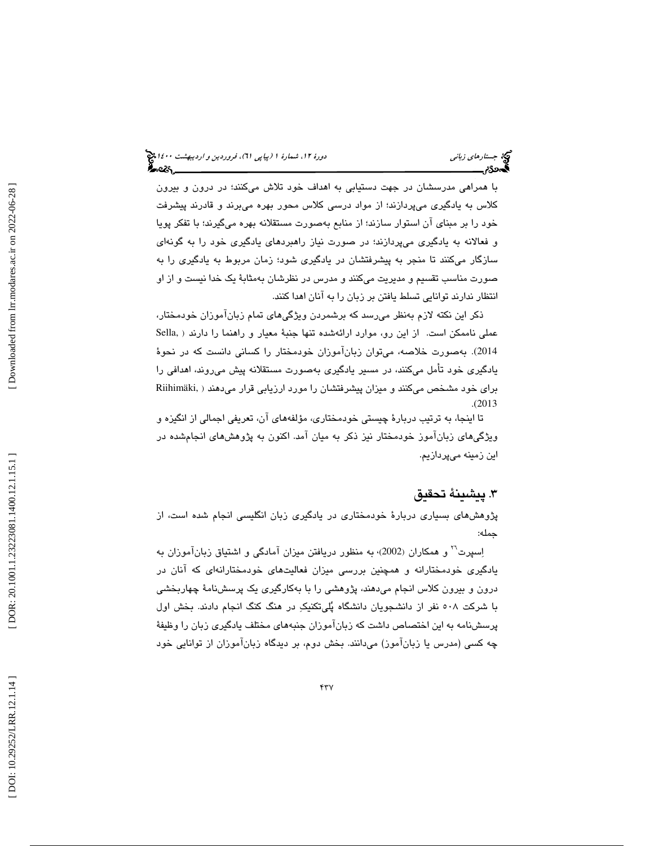با همراهي مدرسشان در جهت دستيابي به اهداف خود تلاش ميكنند؛ در درون و بيرون كلاس به يادگيري ميپردازند؛ از مواد درسي كلاس محور بهره ميبرند و قادرند پيشرفت خود را بر مبناي آن استوار سازند؛ از منابع بهصورت مستقلانه بهره ميگيرند؛ با تفكر پويا و فعالانه به يادگيري ميپردازند؛ در صورت نياز راهبردهاي يادگيري خود را به گونهاي سازگار ميكنند تا منجر به پيشرفتشان در يادگيري شود؛ زمان مربوط به يادگيري را به صورت مناسب تقسيم و مديريت ميكنند و مدرس در نظرشان بهمثابهٔ يک خدا نيست و از او انتظار ندارند توانايي تسلط يافتن بر زبان را به آنان اهدا كنند.

ذكر اين نكته لازم بهنظر ميرسد كه برشمردن ويژگيهاي تمام زبانآموزان خودمختار، عملی ناممکن است. از این رو، موارد ارائهشده تنها جنبهٔ معیار و راهنما را دارند ( .Sella 2014). بهصورت خلاصه، ميتوان زبانآموزان خودمختار را كساني دانست كه در نحوهٔ يادگيري خود تأمل ميكنند، در مسير يادگيري بهصورت مستقلانه پيش ميروند، اهدافي را Riihimäki, براي خود مشخص ميكنند و ميزان پيشرفتشان را مورد ارزيابي قرار ميدهند ( (. 2013

تا اينجا، به ترتيب دربارهٔ چيستي خودمختاري، مؤلفههاي آن، تعريفي اجمالي از انگيزه و ويژگيهاي زبانآموز خودمختار نيز ذكر به ميان آمد. اكنون به پژوهشهاي انجامشده در اين زمينه ميپردازيم.

# . پيشينة تحقيق 3

پژوهشهاي بسياري دربارة خودمختاري در يادگيري زبان انگليسي انجام شده است، از جمله:

اِسپرت<sup>۲۰</sup> و همكاران (2002)، به منظور دريافتن ميزان آمادگي و اشتياق زبانآموزان به يادگيري خودمختارانه و همچنين بررسي ميزان فعاليتهاي خودمختارانهاي كه آنان در درون و بيرون كلاس انجام ميدهند، پژوهشي را با بهكارگيري يك پرسشنامة چهاربخشي با شركت 508 نفر از دانشجويان دانشگاه پليتكنيك در هنگ كنگ انجام دادند. بخش اول پرسشنامه به اين اختصاص داشت كه زبانآموزان جنبههاي مختلف يادگيري زبان را وظيفة چه كسي (مدرس يا زبانآموز) ميدانند. بخش دوم، بر ديدگاه زبانآموزان از توانايي خود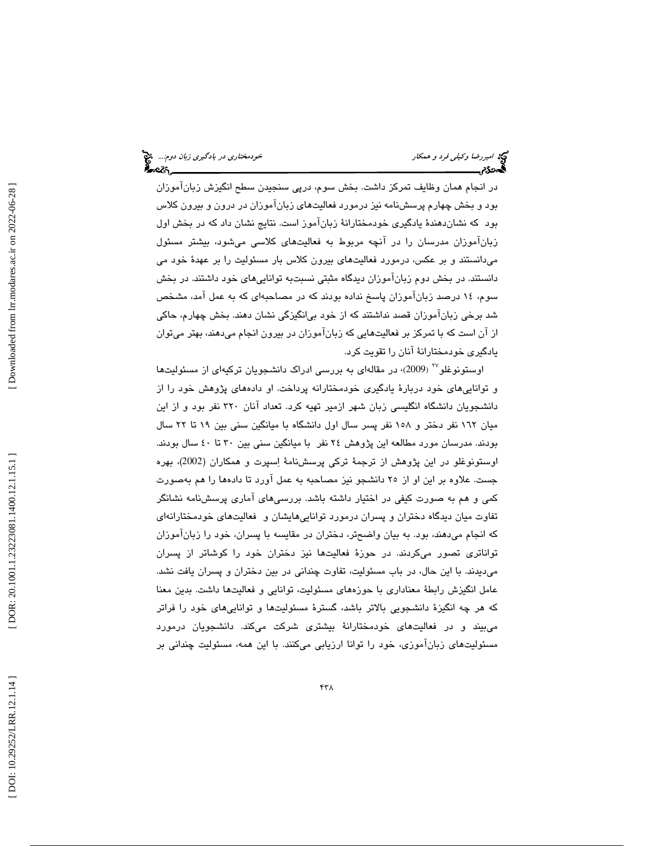در انجام همان وظايف تمركز داشت. بخش سوم، درپي سنجيدن سطح انگيزش زبانآموزان بود و بخش چهارم پرسشنامه نيز درمورد فعاليتهاي زبانآموزان در درون و بيرون كلاس بود كه نشاندهندة يادگيري خودمختارانة زبانآموز است. نتايج نشان داد كه در بخش اول زبانآموزان مدرسان را در آنچه مربوط به فعاليتهاي كلاسي ميشود، بيشتر مسئول ميدانستند و بر عكس، درمورد فعاليتهاي بيرون كلاس بار مسئوليت را بر عهدة خود مي دانستند. در بخش دوم زبانآموزان ديدگاه مثبتي نسبتبه تواناييهاي خود داشتند. در بخش سوم، 14 درصد زبانآموزان پاسخ نداده بودند كه در مصاحبهاي كه به عمل آمد، مشخص شد برخي زبانآموزان قصد نداشتند كه از خود بيانگيزگي نشان دهند. بخش چهارم، حاكي از آن است كه با تمركز بر فعاليتهايي كه زبانآموزان در بيرون انجام ميدهند، بهتر ميتوان يادگيري خودمختارانة آنان را تقويت كرد.

اوستونوغلو<sup>۲۷</sup> (2009)، در مقالهای به بررسی ادراک دانشجویان ترکیهای از مسئولیتها و تواناييهاي خود دربارة يادگيري خودمختارانه پرداخت. او دادههاي پژوهش خود را از دانشجويان دانشگاه انگليسي زبان شهر ازمير تهيه كرد. تعداد آنان 320 نفر بود و از اين ميان 162 نفر دختر و 158 نفر پسر سال اول دانشگاه با ميانگين سني بين 19 تا 22 سال بودند. مدرسان مورد مطالعه اين پژوهش 24 نفر با ميانگين سني بين 30 تا 40 سال بودند. اوستونوغلو در اين پژوهش از ترجمة تركي پرسشنامة اسپرت و همكاران (2002)، بهره جست. علاوه بر اين او از دا 25 نشجو نيز مصاحبه به عمل آورد تا دادهها را هم بهصورت كمي و هم به صورت كيفي در اختيار داشته باشد. بررسيهاي آماري پرسشنامه نشانگر تفاوت ميان ديدگاه دختران و پسران درمورد تواناييهايشان و فعاليتهاي خودمختارانهاي كه انجام ميدهند، بود. به بيان واضحتر، دختران در مقايسه با پسران، خود را زبانآموزان تواناتري تصور ميكردند. در حوزة فعاليتها نيز دختران خود را كوشاتر از پسران ميديدند. با اين حال، در باب مسئوليت، تفاوت چنداني در بين دختران و پسران يافت نشد. عامل انگيزش رابطة معناداري با حوزههاي مسئوليت، توانايي و فعاليتها داشت. بدين معنا كه هر چه انگيزة دانشجويي بالاتر باشد، گسترة مسئوليتها و تواناييهاي خود را فراتر ميبيند و در فعاليتهاي خودمختارانة بيشتري شركت ميكند. دانشجويان درمورد مسئوليتهاي زبانآموزي، خود را توانا ارزيابي ميكنند. با اين همه، مسئوليت چنداني بر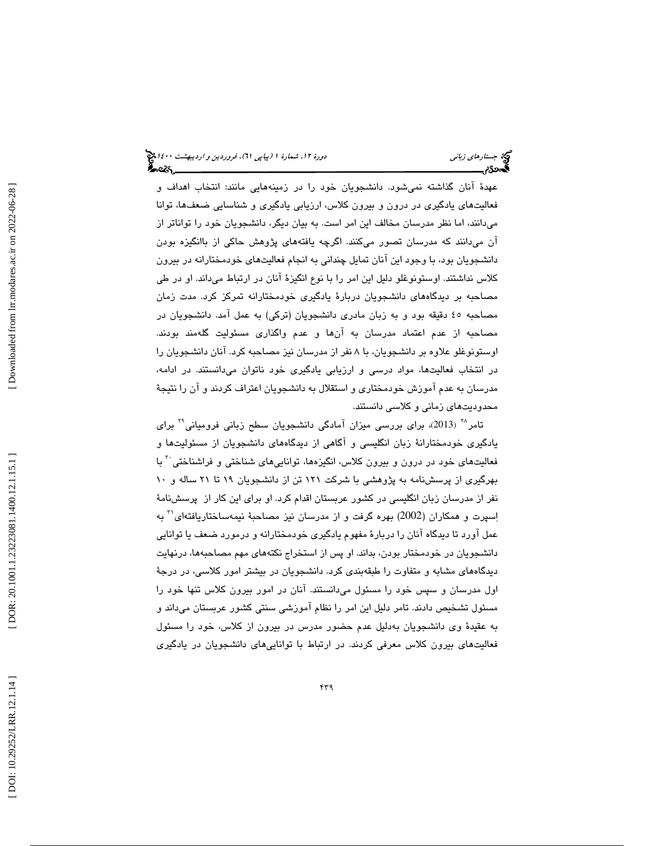عهدة آنان گذاشته نميشود. دانشجويان خود را در زمينههايي مانند: انتخاب اهداف و فعاليتهاي يادگيري در درون و بيرون كلاس، ارزيابي يادگيري و شناسايي ضعفها، توانا ميدانند، اما نظر مدرسان مخالف اين امر است. به بيان ديگر، دانشجويان خود را تواناتر از آن ميدانند كه مدرسان تصور ميكنند. اگرچه يافتههاي پژوهش حاكي از باانگيزه بودن دانشجويان بود، با وجود اين آنان تمايل چنداني به انجام فعاليتهاي خودمختارانه در بيرون كلاس نداشتند. اوستونوغلو دليل اين امر را با نوع انگيزة آنان در ارتباط ميداند. او در طي مصاحبه بر ديدگاههاي دانشجويان دربارة يادگيري خودمختارانه تمركز كرد. مدت زمان مصاحبه 45 دقيقه بود و به زبان مادري دانشجويان (تركي) به عمل آمد. دانشجويان در مصاحبه از عدم اعتماد مدرسان به آنها و عدم واگذاري مسئوليت گلهمند بودند. اوستونوغلو علاوه بر دانشجويان، با 8 نفر از مدرسان نيز مصاحبه كرد. آنان دانشجويان را در انتخاب فعاليتها، مواد درسي و ارزيابي يادگيري خود ناتوان ميدانستند. در ادامه، مدرسان به عدم آموزش خودمختاري و استقلال به دانشجويان اعتراف كردند و آن را نتيجة محدوديتهاي زماني و كلاسي دانستند.

تامر<sup>74</sup> (2013)، برای بررسی میزان آمادگی دانشجویان سطح زبانی فرومیانی<sup>۲۹</sup> برای يادگيري خودمختارانة زبان انگليسي و آگاهي از ديدگاههاي دانشجويان از مسئوليتها و فعاليتهاي خود در درون و بيرون كلاس، انگيزهها، تواناييهاي شناختي و فراشناختي <sup>۲</sup> با بهرگيري از پرسشنامه به پژوهشي با شركت 121 تن از دانشجويان 19 تا 21 ساله و 10 نفر از مدرسان زبان انگليسي در كشور عربستان اقدام كرد. او براي اين كار از پرسشنامة 31 اسپرت و همكاران (2002) بهره گرفت و از مدرسان نيز مصاحبة نيمهساختاريافتهاي به عمل آورد تا ديدگاه آنان را دربارة مفهوم يادگيري خودمختارانه و درمورد ضعف يا توانايي دانشجويان در خودمختار بودن، بداند. او پس از استخراج نكتههاي مهم مصاحبهها، درنهايت ديدگاههاي مشابه و متفاوت را طبقهبندي كرد. دانشجويان در بيشتر امور كلاسي، در درجة اول مدرسان و سپس خود را مسئول مىدانستند. انان در امور بيرون كلاس تنها خود را مسئول تشخيص دادند. تامر دليل اين امر را نظام آموزشي سنتي كشور عربستان ميداند و به عقيدة وي دانشجويان بهدليل عدم حضور مدرس در بيرون از كلاس، خود را مسئول فعالیتهای بیرون کلاس معرفی کردند. در ارتباط با تواناییهای دانشجویان در یادگیری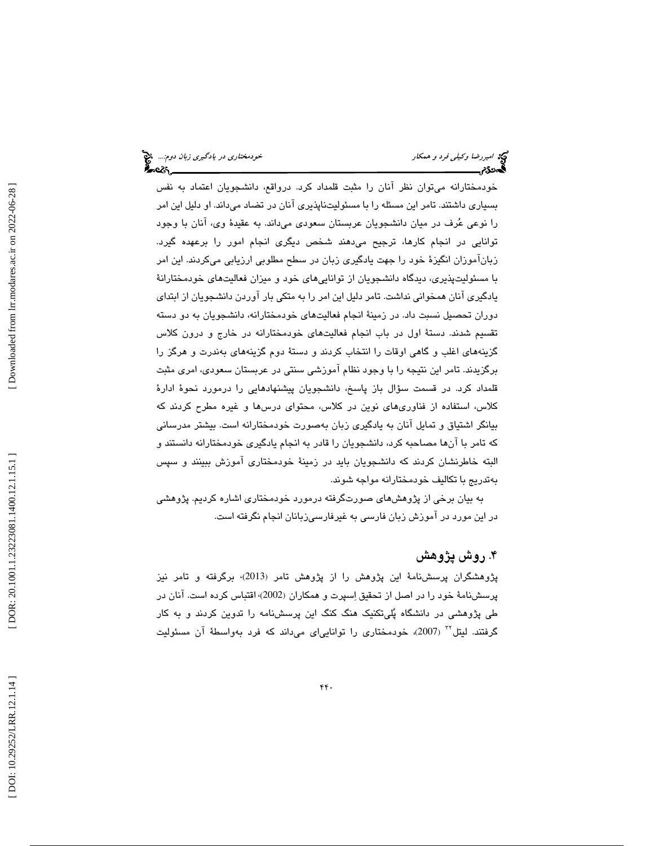خودمختارانه ميتوان نظر آنان را مثبت قلمداد كرد. درواقع، دانشجويان اعتماد به نفس بسياري داشتند. تامر اين مسئله را با مسئوليتناپذيري آنان در تضاد ميداند. او دليل اين امر را نوعي عرف در ميان دانشجويان عربستان سعودي ميداند. به عقيدة وي، آنان با وجود توانايي در انجام كارها، ترجيح ميدهند شخص ديگري انجام امور را برعهده گيرد. زبانآموزان انگيزة خود را جهت يادگيري زبان در سطح مطلوبي ارزيابي ميكردند. اين امر با مسئوليتپذيري، ديدگاه دانشجويان از تواناييهاي خود و ميزان فعاليتهاي خودمختارانة يادگيري آنان همخواني نداشت. تامر دليل اين امر را به متكي بار آوردن دانشجويان از ابتداي دوران تحصيل نسبت داد. در زمينة انجام فعاليتهاي خودمختارانه، دانشجويان به دو دسته تقسيم شدند. دستة اول در باب انجام فعاليتهاي خودمختارانه در خارج و درون كلاس گزينههاي اغلب و گاهي اوقات را انتخاب كردند و دستة دوم گزينههاي بهندرت و هرگز را برگزيدند. تامر اين نتيجه را با وجود نظام آموزشي سنتي در عربستان سعودي، امري مثبت قلمداد كرد. در قسمت سؤال باز پاسخ، دانشجويان پيشنهادهايي را درمورد نحوة ادارة كلاس، استفاده از فناوريهاي نوين در كلاس، محتواي درسها و غيره مطرح كردند كه بيانگر اشتياق و تمايل آنان به يادگيري زبان بهصورت خودمختارانه است. بيشتر مدرساني كه تامر با آنها مصاحبه كرد، دانشجويان را قادر به انجام يادگيري خودمختارانه دانستند و البته خاطرنشان كردند كه دانشجویان باید در زمینهٔ خودمختاری اموزش ببینند و سپس بهتدريج با تكاليف خودمختارانه مواجه شوند.

 به بيان برخي از پژوهشهاي صورتگرفته درمورد خودمختاري اشاره كرديم . پژوهشي در اين مورد در آموزش زبان فارسي به غيرفارسيزبانان انجام نگرفته است .

# ۴. روش پژوهش

پژوهشگران پرسشنامة اين پژوهش را از پژوهش تامر ( 2013)، برگرفته و تامر نيز پرسشنامهٔ خود را در اصل از تحقیق اِسپرت و همکاران (2002) اقتباس کرده است. آنان در طي پژوهشي در دانشگاه پليتكنيك هنگ كنگ اين پرسشنامه را تدوين كردند و به كار گرفتند. ليتل™ (2007)، خودمختاري را توانايي|ي ميداند كه فرد بهواسطهٔ آن مسئوليت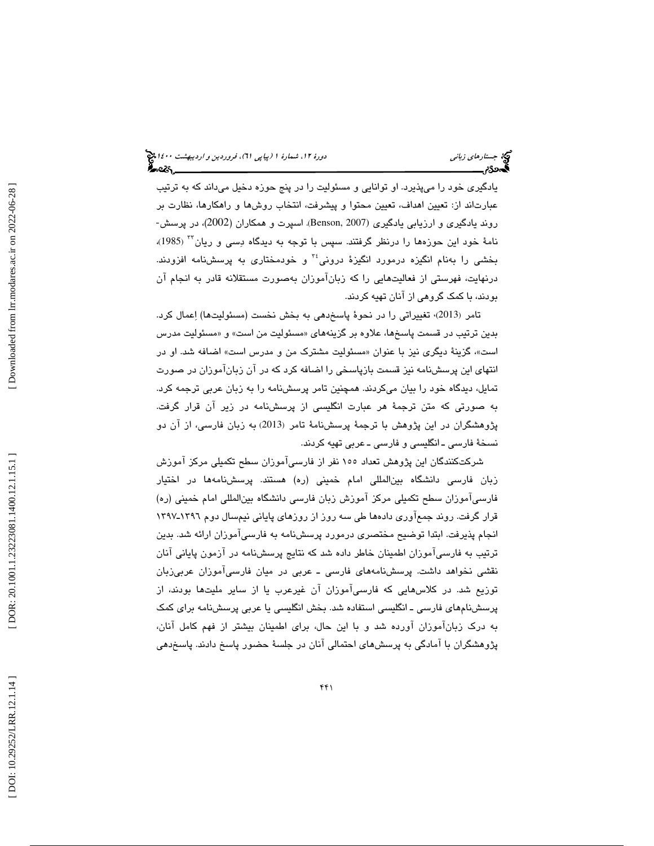يادگيري خود را ميپذيرد. او توانايي و مسئوليت را در پنج حوزه دخيل ميداند كه به ترتيب عبارتاند از: تعیین اهداف، تعیین محتوا و پیشرفت، انتخاب روشها و راهکارها، نظارت بر<br>روند یادگیری و ارزیابی یادگیری (Benson, 2007). اسپرت و همکاران (2002)، در پرسش-نامهٔ خود این حوزهها را درنظر گرفتند. سپس با توجه به دیدگاه دِسی و ریان ٌ'' (1985)، بخشي را بهنام انگيزه درمورد انگيزهٔ دروني<sup>،۳</sup> و خودمختاري به پرسشنامه افزودند. درنهايت، فهرستي از فعاليتهايي را كه زبانآموزان بهصورت مستقلانه قادر به انجام آن بودند، با كمك گروهي از آنان تهيه كردند.

تامر (2013)، تغییراتی را در نحوهٔ پاسخدهی به بخش نخست (مسئولیتها) اِعمال كرد. بدين ترتيب در قسمت پاسخها، علاوه بر گزينههاي «مسئوليت من است» و «مسئوليت مدرس است»، گزینهٔ دیگری نیز با عنوان «مسئولیت مشترک من و مدرس است» اضافه شد. او در انتهاي اين پرسشنامه نيز قسمت بازپاسخي را اضافه كرد كه در آن زبانآموزان در صورت تمايل، ديدگاه خود را بيان ميكردند. همچنين تامر پرسشنامه را به زبان عربي ترجمه كرد. به صورتی كه متن ترجمهٔ هر عبارت انگلیسی از پرسشنامه در زیر آن قرار گرفت. پژوهشگران در این پژوهش با ترجمهٔ پرسشنامهٔ تامر (2013) به زبان فارسی، از آن دو نسخهٔ فارسی ـ انگلیسی و فارسی ـ عربی تهیه کردند.

شركتكنندگان اين پژوهش تعداد 155 نفر از فارسيآموزان سطح تكميلي مركز آموزش زبان فارسي دانشگاه بينالمللي امام خميني (ره) هستند. پرسشنامهها در اختيار فارسيآموزان سطح تكميلي مركز آموزش زبان فارسي دانشگاه بينالمللي امام خميني (ره) قرار گرفت. روند جمع۱وری دادهها طی سه روز از روزهای پایانی نیمسال دوم ۱۳۹۲ـ۱۳۹۷ انجام پذيرفت. ابتدا توضيح مختصري درمورد پرسشنامه به فارسيآموزان ارائه شد. بدين ترتيب به فارسيآموزان اطمينان خاطر داده شد كه نتايج پرسشنامه در آزمون پاياني آنان نقشي نخواهد داشت. پرسشنامههاي فارسي ـ عربي در ميان فارسيآموزان عربيزبان توزيع شد. در كلاسهايي كه فارسيآموزان آن غيرعرب يا از ساير مليتها بودند، از پرسشنامهاي فارسي ـ انگليسي استفاده شد. بخش انگليسي يا عربي پرسشنامه براي كمك به درك زبانآموزان آورده شد و با اين حال، براي اطمينان بيشتر از فهم كامل آنان، پژوهشگران با آمادگی به پرسشهای احتمالی آنان در جلسهٔ حضور پاسخ دادند. پاسخدهی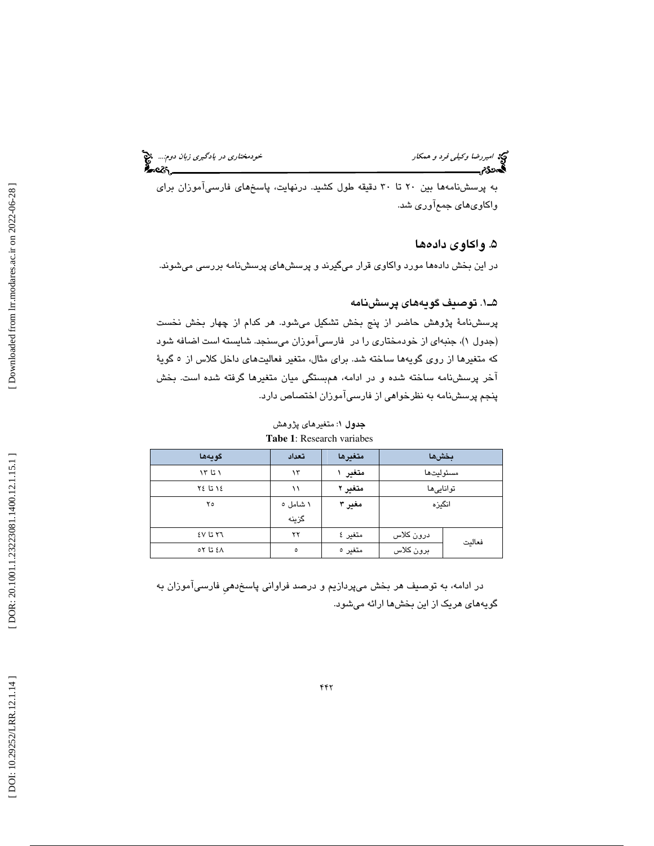به پرسشنامهها بين 20 تا 30 دقيقه طول كشيد. درنهايت، پاسخهاي فارسيآموزان براي واكاوي۵اي جمعآوري شد.

# ۵. واكاوى دادەھا

در اين بخش دادهها مورد واكاوي قرار ميگيرند و پرسشهاي پرسشنامه بررسي ميشوند.

## . 1ـ5 توصيف گويههاي پرسشنامه

پرسشنامهٔ پژوهش حاضر از پنج بخش تشكيل ميشود. هر كدام از چهار بخش نخست )، جنبهاي از خودمختاري را در فارسيآموزان ميسنجد. شايسته است اضافه شود (جدول 1 كه متغيرها از روي گويهها ساخته شد. براي مثال، متغير فعاليتهاي داخل كلاس از ٥ گويهٔ آخر پرسشنامه ساخته شده و در ادامه، همبستگي ميان متغيرها گرفته شده است. بخش پنجم پرسشنامه به نظرخواهي از فارسيآموزان اختصاص دارد .

بخش ها متغيرها تعداد گويه ها مسئوليتها **متغير ١** ١٣ مقدر المسئوليت 13 13 توانايي ها متغير 2 11 14 تا 24 انگيزه مغير 3 1 شامل 5 گزينه  $Y<sub>0</sub>$ فعاليت  $2V$   $V$   $T$   $T$ درون كلاس متغير 4 برون كلاس متغير 5 5 48 تا 52

جدول ۱: متغيرهاي پژوهش **Tabe 1**: Research variabes

در ادامه، به توصيف هر بخش ميپردازيم و درصد فراواني پاسخدهيِ فارسيآموزان به گويه های هريک از اين بخش ها ارائه میشود.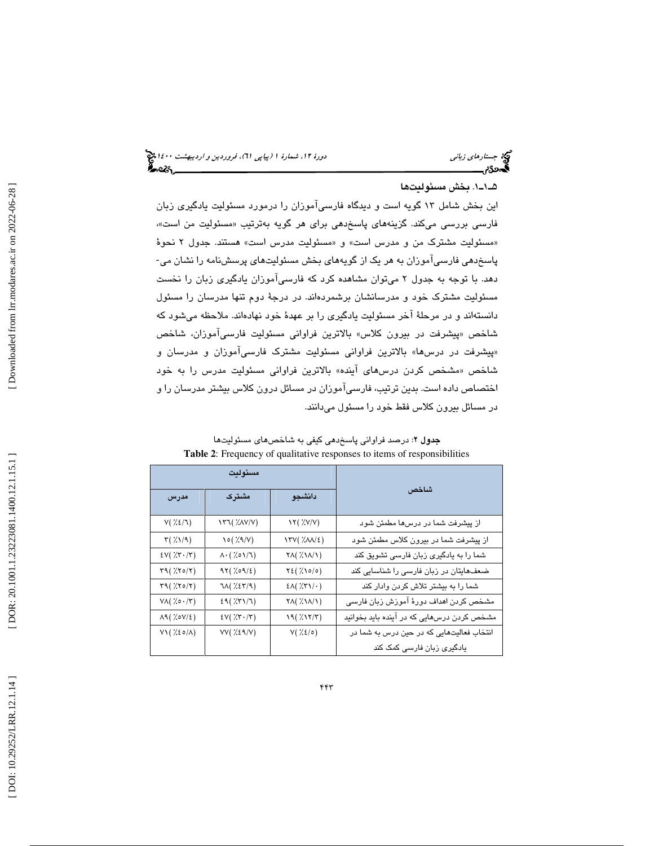## . 1ـ1ـ5 بخش مسئوليت ها

ين بخش شامل 13 گويه است و ديدگاه فارسيآموزان را درمورد مسئوليت يادگيري زبان ا فارسی بررسی میکند. گزینههای پاسخدهی برای هر گویه بهترتیب «مسئولیت من است»، «مسئوليت مشترک من و مدرس است» و «مسئوليت مدرس است» هستند. جدول ۲ نحوهٔ پاسخدهي فارسيآموزان به هر يك از گويههاي بخش مسئوليتهاي پرسشنامه را نشان مي- دهد. با توجه به جدول 2 ميتوان مشاهده كرد كه فارسيآموزان يادگيري زبان را نخست مسئوليت مشترك خود و مدرسانشان برشمردهاند. در درج ة دوم تنها مدرسان را مسئول دانستهاند و در مرحلهٔ آخر مسئولیت یادگیری را بر عهدهٔ خود نهادهاند. ملاحظه میشود که پيشرفت در بيرون كلاس » بالاترين فراواني مسئوليت فارسيآموزان، شاخص شاخص « «پیشرفت در درس@» بالاترین فراوانی مسئولیت مشترک فارسی!موزان و مدرسان و شاخص «مشخص كردن درسها*ی* اینده» بالاترین فراوانی مسئولیت مدرس را به خود اختصاص داده است. بدين ترتيب ، فارسيآموزان در مسائل درون كلاس بيشتر مدرسان را و در مسائل بيرون كلاس فقط خود را مسئول ميدانند .

|                                                                                                                                                                                                                                                                                                                                                                                                | مسئوليت                                                                 |                                               |                                            |
|------------------------------------------------------------------------------------------------------------------------------------------------------------------------------------------------------------------------------------------------------------------------------------------------------------------------------------------------------------------------------------------------|-------------------------------------------------------------------------|-----------------------------------------------|--------------------------------------------|
| مدرس                                                                                                                                                                                                                                                                                                                                                                                           | مشترک                                                                   | دانشجو                                        | شاخص                                       |
| $V(\gamma\chi)/\gamma)$                                                                                                                                                                                                                                                                                                                                                                        | <b>١٣٦</b> ( XAV/V)                                                     | $\lambda Y(\gamma/2)$                         | از پیشرفت شما در درسها مطمئن شود           |
| $\mathbf{r}(\lambda/\mathbf{A})$                                                                                                                                                                                                                                                                                                                                                               | $\circ$ ( $\frac{1}{2}$ $\circ$ ( $\frac{1}{2}$ $\circ$ $\circ$ $\circ$ | $\Gamma(Y(\chi\Lambda/\epsilon))$             | از پیشرفت شما در بیرون کلاس مطمئن شود      |
| $\text{EV}(\text{X}\cdot\text{X})$                                                                                                                                                                                                                                                                                                                                                             | $\Lambda \cdot ($ % $\circ \Lambda / \Lambda)$                          | $\mathsf{YA}(\lambda\mathsf{NA}/\mathsf{NA})$ | شما را به یادگیری زبان فارسی تشویق کند     |
| $\mathsf{r}\mathfrak{q}(\mathcal{H}\mathfrak{so}/\mathfrak{r})$                                                                                                                                                                                                                                                                                                                                | $97(X09/\epsilon)$                                                      | $Y\xi(X\circ/\circ)$                          | ضعفهایتان در زبان فارسی را شناسایی کند     |
| $\mathsf{r}\mathfrak{q}(\mathcal{H}\mathfrak{so}/\mathfrak{r})$                                                                                                                                                                                                                                                                                                                                | $7\lambda(\chi\chi\gamma/9)$                                            | $2\lambda(\frac{1}{2}\lambda + \lambda)$      | شما را به بیشتر تلاش کردن وادار کند        |
| $V \wedge ( \hspace{0.1cm} \times \hspace{0.1cm} \circ \cdot \hspace{0.1cm} \cdot \hspace{0.1cm} \hspace{0.1cm} \hspace{0.1cm} \hspace{0.1cm} \hspace{0.1cm} \hspace{0.1cm} \hspace{0.1cm} \hspace{0.1cm} \hspace{0.1cm} \hspace{0.1cm} \hspace{0.1cm} \hspace{0.1cm} \hspace{0.1cm} \hspace{0.1cm} \hspace{0.1cm} \hspace{0.1cm} \hspace{0.1cm} \hspace{0.1cm} \hspace{0.1cm} \hspace{0.1cm}$ | 29(777)                                                                 | $\mathsf{YA}(\lambda\mathsf{NA}/\mathsf{NA})$ | مشخص کردن اهداف دورهٔ آموزش زبان فارسی     |
| $\Lambda$ ۹ ( $\lambda$ ٥٧/٤)                                                                                                                                                                                                                                                                                                                                                                  | $\text{EV}(\text{X}\cdot\text{X})$                                      | 19(X177)                                      | مشخص کردن درسهایی که در آینده باید بخوانید |
| $V1(X50/\Lambda)$                                                                                                                                                                                                                                                                                                                                                                              | $VV($ $\chi$ $\chi$ $\gamma$ $\chi$                                     | $V(X\xi/\circ)$                               | انتخاب فعالیتهایی که در حین درس به شما در  |
|                                                                                                                                                                                                                                                                                                                                                                                                |                                                                         |                                               | یادگیری زبان فارسی کمک کند                 |

| <b>جدول ۲</b> : درصد فراوانی پاسخدهی کیفی به شاخصهای مسئولیتها                  |
|---------------------------------------------------------------------------------|
| <b>Table 2:</b> Frequency of qualitative responses to items of responsibilities |

[Downloaded from lrr.modares.ac.ir on 2022-06-28]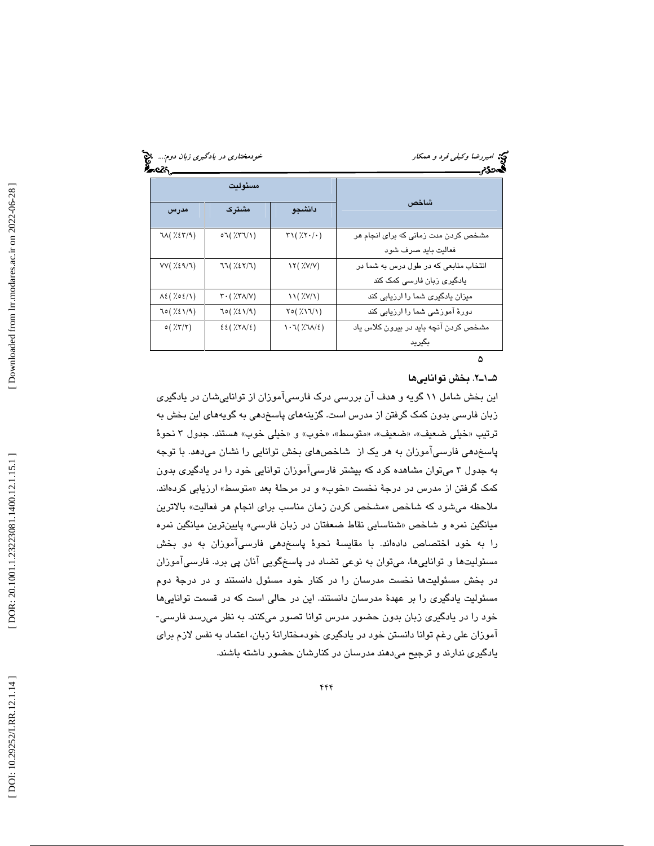| شاخص<br>مشترک<br>دانشجو<br>مدرس<br>$7\lambda(\frac{7}{5}\epsilon 7/9)$<br>07(77/1)<br>$\mathcal{N}(\mathcal{X}\cdot/\cdot)$<br>فعاليت بايد صرف شود<br>VV(7.89/7)<br>77(7.877)<br>۱۲ ( //۷/۷ )<br>یادگیری زبان فارسی کمک کند<br>$\mathbf{r} \cdot ( \frac{1}{2} \mathbf{r} \mathbf{A} / \mathbf{V} )$<br>$\mathcal{N}(\mathcal{X}V/\mathcal{N})$<br>$\lambda \xi (\lambda \circ \xi/\lambda)$<br>70(X5)/9<br>70(X5)/9)<br>$Y \circ (X \setminus Y)$ | مسئولت |                                       |
|----------------------------------------------------------------------------------------------------------------------------------------------------------------------------------------------------------------------------------------------------------------------------------------------------------------------------------------------------------------------------------------------------------------------------------------------------|--------|---------------------------------------|
|                                                                                                                                                                                                                                                                                                                                                                                                                                                    |        |                                       |
|                                                                                                                                                                                                                                                                                                                                                                                                                                                    |        | مشخص کردن مدت زمانی که برای انجام هر  |
|                                                                                                                                                                                                                                                                                                                                                                                                                                                    |        |                                       |
|                                                                                                                                                                                                                                                                                                                                                                                                                                                    |        | انتخاب منابعی که در طول درس به شما در |
|                                                                                                                                                                                                                                                                                                                                                                                                                                                    |        |                                       |
|                                                                                                                                                                                                                                                                                                                                                                                                                                                    |        | میزان یادگیری شما را ارزیابی کند      |
|                                                                                                                                                                                                                                                                                                                                                                                                                                                    |        | دورهٔ آموزشی شما را ارزیابی کند       |
| o(XX/X)<br>$\epsilon\epsilon$ ( $\frac{1}{2}$ $\zeta\tau\Lambda/\epsilon$ )<br>$\left(3\right)$ //7/ $\left(7\right)$                                                                                                                                                                                                                                                                                                                              |        | مشخص کردن آنچه باید در بیرون کلاس یاد |
| ىگىرىد                                                                                                                                                                                                                                                                                                                                                                                                                                             |        |                                       |

#### 2.ـ1ـ5 بخش توانايي ها

اين بخش شامل 11 گويه و هدف آن بررسي درك فارسيآموزان از تواناييشان در يادگيري زبان فارسي بدون كمك گرفتن از مدرس است. گزينههاي پاسخدهي به گويههاي اين بخش به ترتيب «خيلي ضعيف»، «ضعيف»، «متوسط»، «خوب» و «خيلي خوب» هستند. جدول ٣ نحوهٔ پاسخدهي فارسيآموزان به هر يك از شاخصهاي بخش توانايي را نشان ميدهد. با توجه به جدول 3 ميتوان مشاهده كرد كه بيشتر فارسيآموزان توانايي خود را در يادگيري بدون كمک گرفتن از مدرس در درجهٔ نخست «خوب» و در مرحلهٔ بعد «متوسط» ارزیابی كردهاند. ملاحظه میشود که شاخص «مشخص کردن زمان مناسب برای انجام هر فعالیت» بالاترین میانگین نمره و شاخص «شناسایی نقاط ضعفتان در زبان فارسی» پایینترین میانگین نمره را به خود اختصاص دادهاند. با مقايسهٔ نحوهٔ پاسخدهی فارسیآموزان به دو بخش مسئولیتها و تواناییِها، میتوان به نوعی تضاد در پاسخگویی انان پی برد. فارسیِاموزان در بخش مسئوليتها نخست مدرسان را در كنار خود مسئول دانستند و در درجهٔ دوم مسئولیت یادگیری را بر عهدهٔ مدرسان دانستند. این در حالی است که در قسمت تواناییها<br>خود را در یادگیری زبان بدون حضور مدرس توانا تصور میکنند. به نظر میرسد فارسی-آموزان علی رغم توانا دانستن خود در يادگيري خودمختارانهٔ زبان، اعتماد به نفس لازم براي يادگيري ندارند و ترجيح ميدهند مدرسان در كنارشان حضور داشته باشند.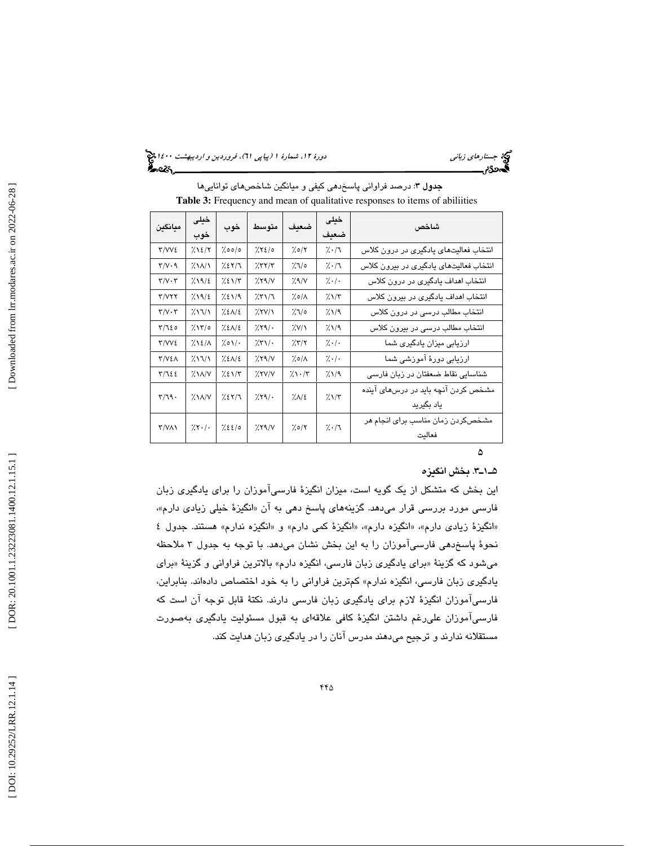جستار*هاي زباني هي المرديبهشت 1400 ه*ورو 11، شمارة 1 (پياپي 71)، فر*وردين و ارديبهشت 14*00 هج

**جدول ۳**: درصد فراوانی پاسخد*ه*ی کیفی و میانگین شاخصهای تواناییها **Table 3:** Frequency and mean of qualitative responses to items of abiliities

| مىانگىن                                | خیلی                              | خوب         | متوسط                | ضعدف          | خیلی       | شاخص                                   |
|----------------------------------------|-----------------------------------|-------------|----------------------|---------------|------------|----------------------------------------|
|                                        | خوب                               |             |                      |               | ضعدف       |                                        |
| ۳/VV٤                                  | 7.12/7                            | 7.0010      | 7.7210               | 7.0/7         | 7.77       | انتخاب فعالیتهای یادگیری در درون کلاس  |
| $\mathbf{r}/\mathbf{v}\cdot\mathbf{q}$ | $\frac{1}{2}$ $\frac{1}{2}$       | 7.217       | 757/7                | 7/10          | 7.7        | انتخاب فعالیتهای یادگیری در بیرون کلاس |
| $\mathbf{r}/\mathbf{v}\cdot\mathbf{r}$ | 719/2                             | $7.21/\tau$ | 7.79/N               | 7.9/V         | 7.1        | انتخاب اهداف یادگیری در درون کلاس      |
| Y/YYY                                  | 7.19/2                            | 7.21/9      | 7.71/7               | $7.0/\Lambda$ | $7.1/\tau$ | انتخاب اهداف یادگیری در بیرون کلاس     |
| $\mathbf{Y}/\mathbf{V}\cdot\mathbf{Y}$ | 211/1                             | 7.211       | $XY/\lambda$         | 7/10          | 7.1/9      | انتخاب مطالب درسی در درون کلاس         |
| $\frac{1}{2}$                          | $7.17$ /0                         | 7.211       | 7.89/                | X'/Y          | 7/11       | انتخاب مطالب درسی در بیرون کلاس        |
| $Y/VV\epsilon$                         | 7.121                             | 7.01/       | $X\mathcal{N}/\cdot$ | 7.57          | 7.1.       | ارزیابی میزان یادگیری شما              |
| <b>٣/٧٤٨</b>                           | 211/1                             | 7.211       | 7.79/V               | $7.0/\Lambda$ | 7.1        | ارزیابی دورهٔ آموزشی شما               |
| $\tau/\tau$ ٤٤                         | $\frac{1}{2}$ $\lambda N/V$       | 7.21        | XY/Y                 | 7.1.7         | 7.1/9      | شناسایی نقاط ضعفتان در زبان فارسی      |
| $\mathbf{r}/\mathbf{19}$ .             | $\lambda$ \ $\lambda$ / $\lambda$ | 7.217       | 7.89/                | 7.1           | $7.1/\tau$ | مشخص کردن آنچه باید در درس های آینده   |
|                                        |                                   |             |                      |               |            | یاد بگیرید                             |
| Y/YAY                                  | 7.1.1                             | 7.2210      | $XY \ Y$             | ۶/۰/۲         | 7.71       | مشخص کردن زمان مناسب برای انجام هر     |
|                                        |                                   |             |                      |               |            | فعالت                                  |

# ە

#### 3.ـ1ـ5 بخش انگيزه

اين بخش كه متشكل از يك گويه است، ميزان انگيز ة فارسيآموزان را براي يادگيري زبان فارسی مورد بررسی قرار میدهد. گزینههای پاسخ دهی به ان «انگیزهٔ خیلی زیادی دارم»، «انگیزهٔ زیادی دارم»، «انگیزه دارم»، «انگیزهٔ کمی دارم» و «انگیزه ندارم» هستند. جدول ٤ نحوهٔ پاسخدهی فارسیآموزان را به این بخش نشان میدهد. با توجه به جدول ۳ ملاحظه ميشود كه گزينهٔ «براي يادگيري زبان فارسي، انگيزه دارم» بالاترين فراواني و گزينهٔ «براي يادگيري زبان فارسي، انگيزه ندارم » كمترين فراواني را به خود اختصاص دادهاند. بنابراين ، فارسيآموزان انگيزهٔ لازم براي يادگيري زبان فارسي دارند. نكتهٔ قابل توجه آن است كه فارسيآموزان عليرغم داشتن انگيز ة كافي علاقهاي به قبول مسئوليت يادگيري بهصورت مستقلانه ندارند و ترجيح مي هند مدرس آنان را در يادگيري زبان هدايت كند.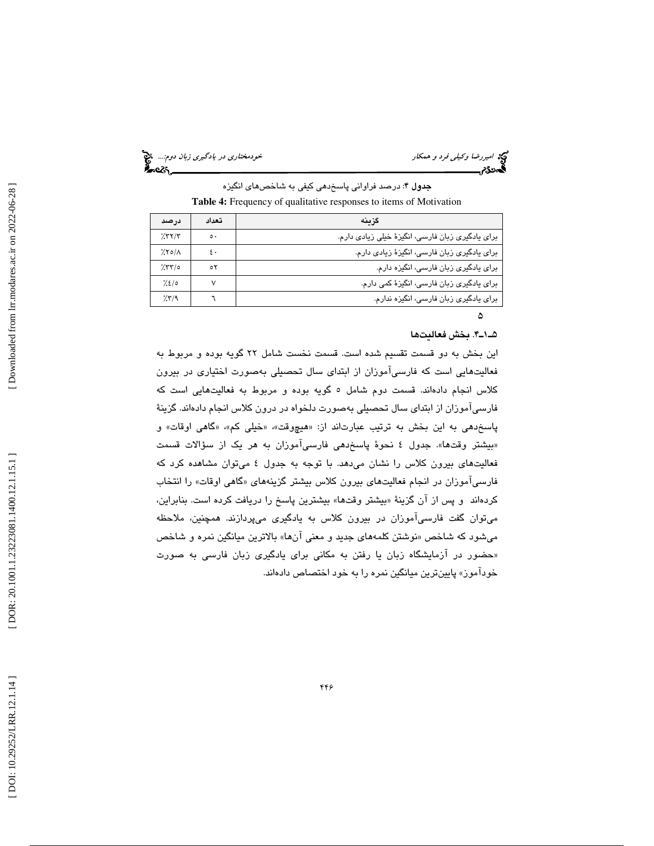امير اسير الحيد و سام كار مختاري است.<br>التي خودمختاري در سام كار مختاري خودمختاري در يادگيري زبان دوم...<br>**التيمن در يادگيري خودمخت**اري در يادگيري خودمختاري به دوم بين دوم بين در يادگيري است.

جدول ۴: درصد فراوانی پاسخدهی کیفی به شاخصهای انگیزه

Table 4: Frequency of qualitative responses to items of Motivation

| درصد           | تعداد        | گزينه                                             |
|----------------|--------------|---------------------------------------------------|
| 7577           | $\circ\cdot$ | برای یادگیری زبان فارسی، انگیزهٔ خیلی زیادی دارم. |
| $7.80/\Lambda$ | ٤٠           | برای یادگیری زبان فارسی، انگیزهٔ زیادی دارم.      |
| 750            | ٥٢           | برای یادگیری زبان فارسی، انگیزه دارم.             |
| 7.210          |              | برای یادگیری زبان فارسی، انگیزهٔ کمی دارم.        |
| 7.579          |              | برای یادگیری زبان فارسی، انگیزه ندارم.            |

## 4.ـ1ـ5 بخش فعاليت ها

 $\Delta$ 

اين بخش به دو قسمت تقسيم شده است. قسمت نخست شامل 22 گويه بوده و مربوط به فعاليتهايي است كه فارسيآموزان از ابتداي سال تحصيلي بهصورت اختياري در بيرون كلاس انجام دادهاند. قسمت دوم شامل 5 گويه بوده و مربوط به فعاليتهايي است كه فارسيآموزان از ابتداي سال تحصيلي بهصورت دلخواه در درون كلاس انجام دادهاند. گزين ة پاسخدهی به این بخش به ترتیب عبارتاند از: «هیچوقت»، «خیلی کم»، «گاهی اوقات» و «بیشتر وقتها». جدول ٤ نحوۀ پاسخد*هی* فارسیاموزان به هر یک از سؤالات قسمت فعاليتهاي بيرون كلاس را نشان ميدهد. با توجه به جدول 4 ميتوان مشاهده كرد كه گاهي اوقات» را انتخاب فارسيآموزان در انجام فعاليتهاي بيرون كلاس بيشتر گزينههاي « كردهاند و پس از آن گزينهٔ «بيشتر وقتها» بيشترين پاسخ را دريافت كرده است. بنابراين، ميتوان گفت فارسيآموزان در بيرون كلاس به يادگيري ميپردازند. همچنين ، ملاحظه میشود که شاخص «نوشتن کلمههای جدید و معنی انها» بالاترین میانگین نمره و شاخص «حضور در ازمايشگاه زبان يا رفتن به مكانی برای يادگيری زبان فارسی به صورت خودآموز» پايينترين ميانگين نمره را به خود اختصاص دادهاند.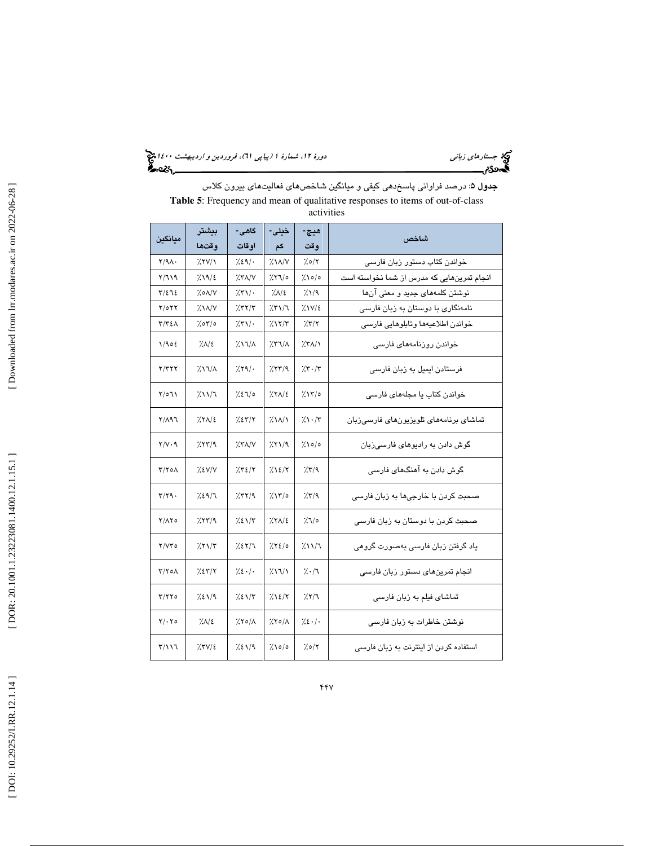جستار*هاي زباني هي المرديبهشت 1400 ه*ورو 11، شمارة 1 (پياپي 71)، فر*وردين و ارديبهشت 14*00 هج

**جدول ۵**: درصد فراوانی پاسخدهی کیفی و میانگین شاخصهای فعالیتهای بیرون کلاس **Table 5**: Frequency and mean of qualitative responses to items of out-of-class activities

| مىانگىن        | بيشتر             | گاهي-                                           | خيلى-                | هيچ-            | شاخص                                       |
|----------------|-------------------|-------------------------------------------------|----------------------|-----------------|--------------------------------------------|
|                | وقتها             | اوقات                                           | کم                   | وقت             |                                            |
| $Y/9\Lambda$ . | $X$ YV/ $\lambda$ | 7.29/                                           | $X\lambda/N$         | ۶۵/۲/           | خواندن کتاب دستور زبان فارسی               |
| ۲/٦۱۹          | 7.19/2            | $X^{\prime}$                                    | ە/۲٦/                | ۱۵/۰٪           | انجام تمرینهایی که مدرس از شما نخواسته است |
| 5/275          | 7.0A/V            | 251/                                            | <b>XAI</b>           | 7/19            | نوشتن کلمههای جدید و معنی آنها             |
| Y/OYY          | ۱۸/۷٪             | 757/7                                           | 251/7                | $7.1V/\epsilon$ | نامەنگارى با دوستان بە زبان فارسى          |
| ۳/۳٤۸          | 0/70٪             | $\frac{1}{2}$ $\mathcal{N}\setminus\mathcal{N}$ | 7.117                | 7.77            | خواندن اطلاعيهها وتابلوهايي فارسى          |
| 1/902          | 7.1               | $2\lambda\lambda/\lambda$                       | $X\lambda/\lambda$   | $XX/\lambda$    | خواندن روزنامەھای فارسى                    |
| ۲/۳۲۲          | ۱٦/٨٪             | 7.89/                                           | 7.55/9               | 7.5.7           | فرستادن ایمیل به زبان فارسی                |
| ۲/٥٦١          | 7.11/7            | 7.27                                            | $XX\Lambda/\epsilon$ | 7.11/0          | خواندن کتاب یا مجلههای فارسی               |
| $Y/\Lambda$ 97 | $XX/\epsilon$     | 7.27/7                                          | $2\lambda$           | $7.1 - 17$      | تماشای برنامههای تلویزیونهای فارسی;زبان    |
| $Y/V \cdot 9$  | 7.57/9            | $X^{\prime}$                                    | 7.51/9               | 7.10/c          | گوش دادن به رادیوهای فارسی;زبان            |
| ۲/۲۰۸          | 7.8V/V            | 7.72/7                                          | 7.12/7               | 7.579           | گوش دادن په آهنگهای فارسی                  |
| ۳/۲۹۰          | 7.29/7            | 757/9                                           | ۱۳/۰٪                | 7.579           | صحبت کردن با خارجی ها به زبان فارسی        |
| Y/AY           | 7.57/9            | 7.21                                            | 7.511                | ە/\'            | صحبت کردن با دوستان به زبان فارسی          |
| Y/YY0          | 7.71/T            | 7.217                                           | 7.860                | 7.117           | یاد گرفتن زبان فارسی بهصورت گروهی          |
| ۲/۲۰۸          | 7.257/8           | $7.2 \cdot \cdot \cdot$                         | $2\lambda\lambda$    | 7.7             | انجام تمرینهای دستور زبان فارسی            |
| ۲/۲۲۰          | 7.21/9            | 7.21                                            | 7.12/7               | 7.8/7           | تماشای فیلم به زبان فارسی                  |
| ۲/۰۲۵          | 7.1               | ۲۵/۸٪                                           | $\chi$ ۲۰/۸          | 7.2.1           | نوشتن خاطرات به زبان فارسی                 |
| ۳/۱۱٦          | $XV/\epsilon$     | 7.21/9                                          | 7.000                | 7.0/7           | استفاده کردن از اینترنت به زبان فارسی      |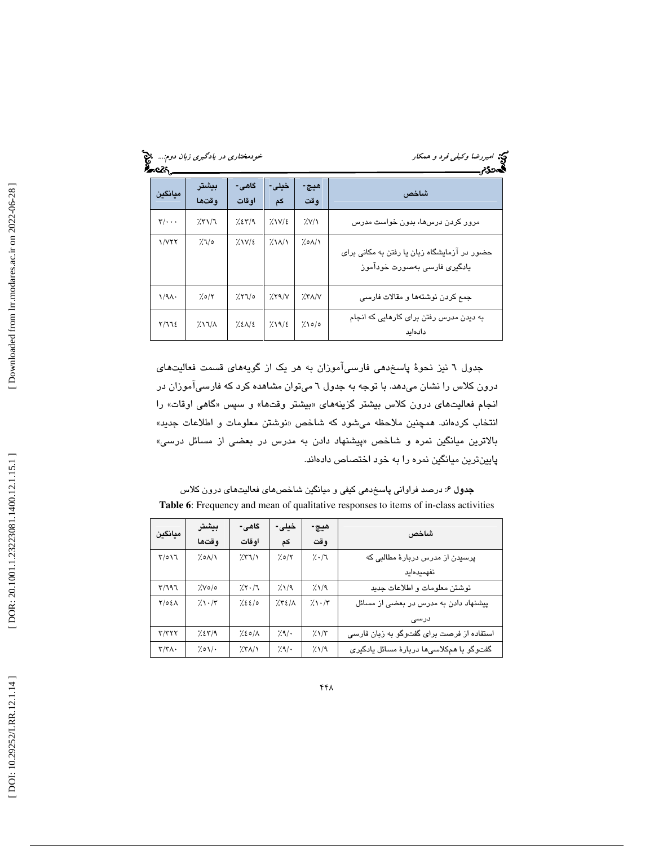| ∽e7S                         | خودمختاری در یادگیری زبان دوم |                 |                             |              | کی؟ امیررضا وکیل <sub>ی</sub> فرد و همکار                                    |
|------------------------------|-------------------------------|-----------------|-----------------------------|--------------|------------------------------------------------------------------------------|
| معانگىن                      | بىشتر<br>وقتها                | گاهی-<br>او قات | خیلی-<br>کم                 | هيچ-<br>وقت  | شاخص                                                                         |
| $\mathbf{y}/\cdot\cdot\cdot$ | 7.51/7                        | 7.27/9          | $7.1V/\epsilon$             | 7.9/1        | مرور کردن درسها، بدون خواست مدرس                                             |
| 1/777                        | 7/10                          | $7.1V/\epsilon$ | $\frac{1}{2}$ $\frac{1}{2}$ | ۸/۸۵٪        | حضور در آزمایشگاه زبان یا رفتن به مکانی برای<br>یادگیری فارسی بهصورت خودآموز |
| $1/9\Lambda$                 | 7.0/7                         | $7.77$ /0       | 7.59/V                      | $X^{\prime}$ | جمع کردن نوشتهها و مقالات فارسی                                              |
| Y/TZ                         | $2\lambda\lambda/\lambda$     | 7.2112          | 7.1912                      | 7.000        | به دیدن مدرس رفتن برای کارهایی که انجام<br>دادهاىد                           |

جدول ٦ نيز نحوهٔ پاسخدهي فارسيآموزان به هر يک از گويههاي قسمت فعاليتهاي درون كلاس را نشان ميدهد. با توجه به جدول 6 ميتوان مشاهده كرد كه فارسيآموزان در انجام فعالیتهای درون کلاس بیشتر گزینههای «بیشتر وقتها» و سپس «گاهی اوقات» را انتخاب كردهاند. همچنين ملاحظه ميشود كه شاخص «نوشتن معلومات و اطلاعات جديد» بالاترين ميانگين نمره و شاخص «پيشنهاد دادن به مدرس در بعضي از مسائل درسي» پايينترين ميانگين نمره را به خود اختصاص دادهاند.

جدول 6: درصد فراواني پاسخدهي كيفي و ميانگين شاخصهاي فعاليتهاي درون كلاس Table 6: Frequency and mean of qualitative responses to items of in-class activities

|                         | بيشتر                      | گاهی-          | خیلی- | هيچ-       | شاخص                                      |
|-------------------------|----------------------------|----------------|-------|------------|-------------------------------------------|
| ميانگين                 | وقتها                      | او قات         | کم    | و قت       |                                           |
| T/ONI                   | 7.01/1                     | 751/1          | 7.0/7 | 7.7        | پرسیدن از مدرس دربارهٔ مطالبی که          |
|                         |                            |                |       |            | نفهميدهايد                                |
| T/T97                   | $\frac{1}{2}$ . $\sqrt{6}$ | $7.5 - 7$      | 7.19  | 7.1/9      | نوشتن معلومات و اطلاعات جدید              |
| $Y/OE\Lambda$           | $7.1 - 77$                 | 7.2210         | 7.521 | $7.1 - 17$ | پیشنهاد دادن به مدرس در بعضی از مسائل     |
|                         |                            |                |       |            | درسی                                      |
| $\mathbf{r}/\mathbf{r}$ | 7.27/9                     | $7.20/\Lambda$ | 7.9/  | $7.1/\tau$ | استفاده از فرصت برای گفتوگو به زبان فارسی |
| $\tau/\tau\wedge\cdot$  | 7.01                       | $X^{\prime}$   | 7.9/  | 7/19       | گفتوگو با همکلاسیها دربارهٔ مسائل پادگیری |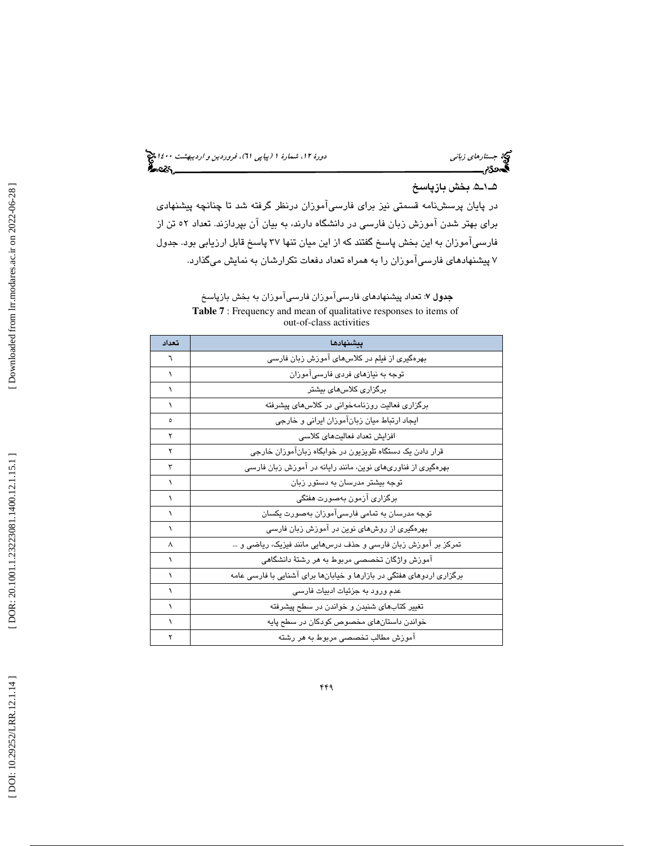# جستار*هاي زباني هي المرديبهشت 1400 ه*ورو 11، شمارة 1 (پياپي 71)، فر*وردين و ارديبهشت 14*00 هج

# . 5ـ1ـ5 بخش بازپاسخ

در پايان پرسشنامه قسمتي نيز براي فارسيآموزان درنظر گرفته شد تا چنانچه پيشنهادي براي بهتر شدن آموزش زبان فارسي در دانشگاه دارند، به بيان آن بپردازند. تعداد 52 تن از فارسيآموزان به اين بخش پاسخ گفتند كه از اين ميان تنها 37 پاسخ قابل ارزيابي بود. جدول 7 پيشنهادهاي فارسيآموزان را به همراه تعداد دفعات تكرارشان به نمايش ميگذارد.

**جدول ۷**: تعداد پیشنهاد*ه*ای فارسیآموزان فارسیآموزان به بخش بازپاسخ **Table 7** : Frequency and mean of qualitative responses to items of out-of-class activities

| تعداد     | بيشنهادها                                                             |
|-----------|-----------------------------------------------------------------------|
| ٦         | بهرهگیری از فیلم در کلاسهای آموزش زبان فارسی                          |
| ١         | توجه به نیازهای فردی فارسی آموزان                                     |
| ١         | برگزاری کلاسهای بیشتر                                                 |
| ١         | برگزاری فعالیت روزنامەخوانی در کلاس،ای پیشرفته                        |
| ٥         | ایجاد ارتباط میان زبانآموزان ایرانی و خارجی                           |
| ۲         | افزايش تعداد فعاليتهاى كلاسى                                          |
| ۲         | قرار دادن یک دستگاه تلویزیون در خوابگاه زبانآموزان خارجی              |
| ٣         | بهرهگیری از فناوریهای نوین، مانند رایانه در آموزش زبان فارسی          |
| ١         | توجه بیشتر مدرسان به دستور زبان                                       |
| ١         | برگزاری آزمون بهصورت هفتگی                                            |
|           | توجه مدرسان به تمامی فارسیآموزان بهصورت یکسان                         |
| $\lambda$ | بهرهگیری از روشهای نوین در آموزش زبان فارسی                           |
| ٨         | تمرکز بر آموزش زبان فارسی و حذف درسهایی مانند فیزیک، ریاضی و …        |
| ١         | اموزش واژگان تخصصی مربوط به هر رشتهٔ دانشگاهی                         |
| $\lambda$ | برگزاری اردوهای هفتگی در بازارها و خیابانها برای اشنایی با فارسی عامه |
| ١         | عدم ورود به جزئیات ادبیات فارسی                                       |
|           | تغییر کتابهای شنیدن و خواندن در سطح پیشرفته                           |
| ١         | خواندن داستانهای مخصوص کودکان در سطح پایه                             |
|           | اموزش مطالب تخصصی مربوط به هر رشته                                    |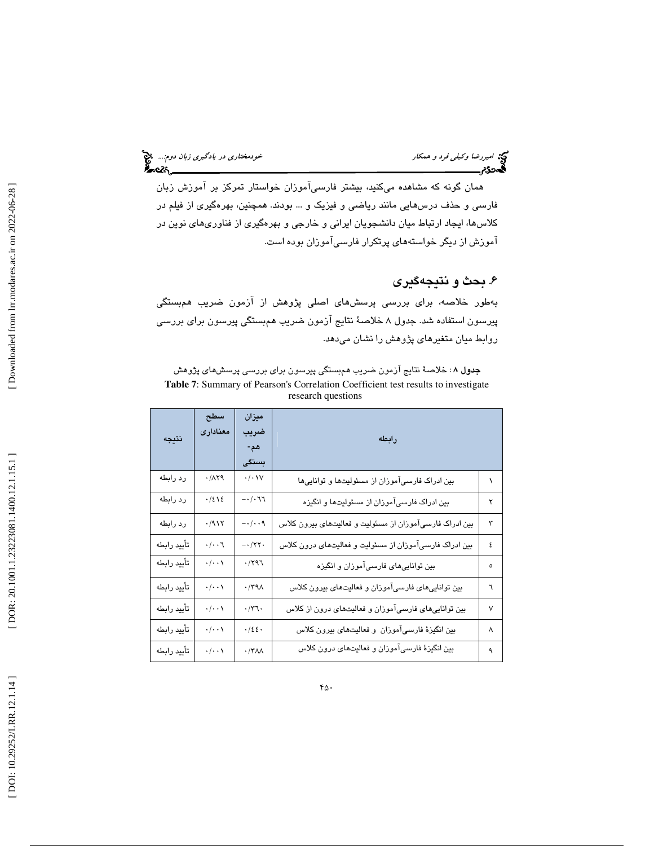همان گونه كه مشاهده ميكنيد، بيشتر فارسيآموزان خواستار تمركز بر آموزش زبان فارسي و حذف درسهايي مانند رياضي و فيزيك و ... بودند. همچنين ، بهرهگيري از فيلم در كلاسها، ايجاد ارتباط ميان دانشجويان ايراني و خارجي و بهرهگيري از فناوريهاي نوين در آموزش از ديگر خواستههاي پرتكرار فارسيآموزان بوده است.

# . 6 بحث و نتيجهگيري

بهطور خلاصه، براي بررسي پرسشهاي اصلي پژوهش از آزمون ضريب همبستگي پيرسون استفاده شد. جدول ۸ خلاصهٔ نتايج آزمون ضريب همبستگي پيرسون براي بررسي روابط ميان متغيرهاي پژوهش را نشان ميدهد.

**جدول ۸**: خلاصهٔ نتایج آزمون ضریب *ه*مبستگی پیرسون برای بررسی پرسشهای پژوهش **Table 7**: Summary of Pearson's Correlation Coefficient test results to investigate research questions

| نتيجه       | سطح<br>معنادارى    | ميزان<br>ضربب<br>هم-<br>بستگی           | رابطه                                                   |        |
|-------------|--------------------|-----------------------------------------|---------------------------------------------------------|--------|
| رد رابطه    | .71                | $\cdot/\cdot$ \V                        | بین ادراک فارسیآموزان از مسئولیتها و تواناییها          |        |
| رد رابطه    | $\cdot$ /٤١٤       | -- $/$ $\cdot$ $\mathcal{I}$            | بین ادراک فارسیآموزان از مسئولیتها و انگیزه             | ۲      |
| رد رابطه    | $\cdot$ /917       | $-\cdot/\cdot\cdot$ ۹                   | بین ادراک فارسیآموزان از مسئولیت و فعالیتهای بیرون کلاس | ٣      |
| تأييد رابطه | $\cdot/\cdot\cdot$ | $-1/\tau\tau$                           | بین ادراک فارسیآموزان از مسئولیت و فعالیتهای درون کلاس  | ٤      |
| تأييد رابطه | $\cdot/\cdot\cdot$ | $\cdot$ /۲۹٦                            | بین تواناییهای فارسیآموزان و انگیزه                     | ٥      |
| تأييد رابطه | $\cdot/\cdot\cdot$ | $\cdot$ /٣٩ $\wedge$                    | بین تواناییهای فارسیآموزان و فعالیتهای بیرون کلاس       | ٦      |
| تأييد رابطه | $\cdot/\cdot\cdot$ | $\cdot/\tau$                            | بین تواناییهای فارسیآموزان و فعالیتهای درون از کلاس     | $\vee$ |
| تأييد رابطه | $\cdot/\cdot\cdot$ | $\cdot$ / $\epsilon$ $\epsilon$ $\cdot$ | بین انگیزهٔ فارسیآموزان و فعالیتهای بیرون کلاس          | ٨      |
| تأييد رابطه | $\cdot/\cdot\cdot$ | $\cdot$ /٣٨٨                            | بین انگیزهٔ فارسیآموزان و فعالیتهای درون کلاس           | ٩      |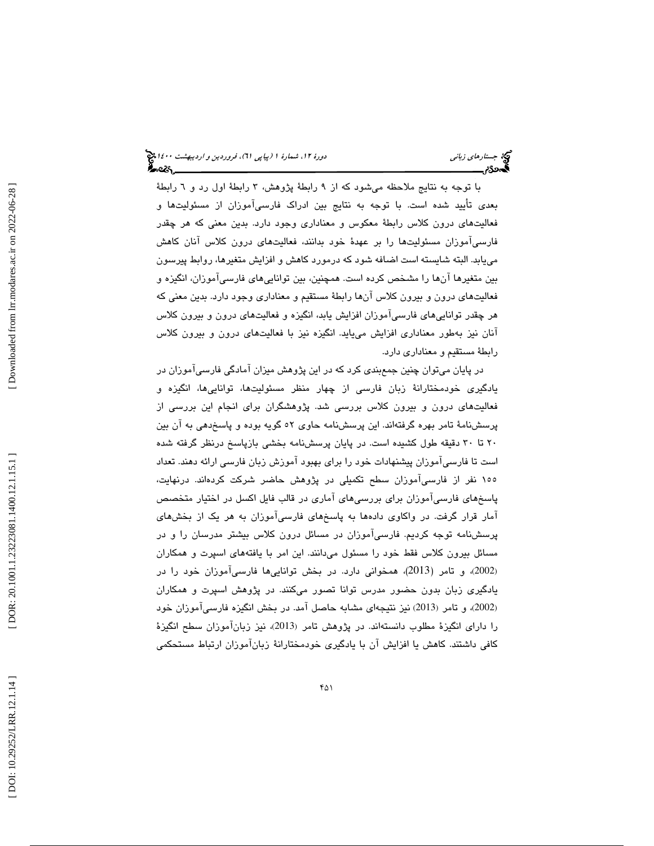با توجه به نتايج ملاحظه ميشود كه از 9 رابط ة پژوهش، 3 رابط ة اول رد و 6 رابط ة بعدي تأييد شده است. با توجه به نتايج بين ادراك فارسيآموزان از مسئوليتها و فعاليتهای درون كلاس رابطهٔ معكوس و معناداری وجود دارد. بدين معنی كه هر چقدر فارسيآموزان مسئوليتها را بر عهدهٔ خود بدانند، فعاليتهاي درون كلاس آنان كاهش مييابد. البته شايسته است اضافه شود كه درمورد كاهش و افزايش متغيرها، روابط پيرسون بين متغيرها آنها را مشخص كرده است. همچنين ، بين تواناييهاي فارسيآموزان، انگيزه و فعاليتهاي درون و بيرون كلاس انها رابطهٔ مستقيم و معناداري وجود دارد. بدين معني كه هر چقدر تواناييهاي فارسيآموزان افزايش يابد، انگيزه و فعاليتهاي درون و بيرون كلاس انان نيز بهطور معناداري افزايش ميLايد. انگيزه نيز با فعاليتهاي درون و بيرون كلاس رابطهٔ مستقيم و معناداري دارد.

در پايان ميتوان چنين جمعبندي كرد كه در اين پژوهش ميزان آمادگي فارسيآموزان در يادگيرى خودمختارانهٔ زبان فارسى از چهار منظر مسئوليتها، توانايىها، انگيزه و فعاليتهاي درون و بيرون كلاس بررسي شد. پژوهشگران براي انجام اين بررسي از پرسشنامهٔ تامر بهره گرفتهاند. اين پرسشنامه حاوي ٥٢ گويه بوده و پاسخدهي به آن بين 20 تا 30 دقيقه طول كشيده است. در پايان پرسشنامه بخشي بازپاسخ درنظر گرفته شده است تا فارسيآموزان پيشنهادات خود را براي بهبود آموزش زبان فارسي ارائه دهند. تعداد ۱۰۵ نفر از فارسی!موزان سطح تكمیلی در پژوهش حاضر شركت كردهاند. درنهایت، پاسخهاي فارسيآموزان براي بررسيهاي آماري در قالب فايل اكسل در اختيار متخصص آمار قرار گرفت. در واكاوي دادهها به پاسخهاي فارسيآموزان به هر يك از بخشهاي پرسشنامه توجه كرديم. فارسيآموزان در مسائل درون كلاس بيشتر مدرسان را و در مسائل بيرون كلاس فقط خود را مسئول ميدانند. اين امر با يافتههاي اسپرت و همكاران ، و تامر (2013)، همخواني دارد. در بخش تواناييها فارسيآموزان خود را در (2002 ) يادگيري زبان بدون حضور مدرس توانا تصور ميكنند. در پژوهش اسپرت و همكاران (2002)، و تامر (2013) نيز نتيجهاي مشابه حاصل آمد. در بخش انگيزه فارسـيآموزان خود را دارای انگیزهٔ مطلوب دانستهاند. در پژوهش تامر (2013)، نیز زبانآموزان سطح انگیزهٔ كافي داشتند. كاهش يا افزايش آن با يادگيري خودمختارانهٔ زبانآموزان ارتباط مستحكمي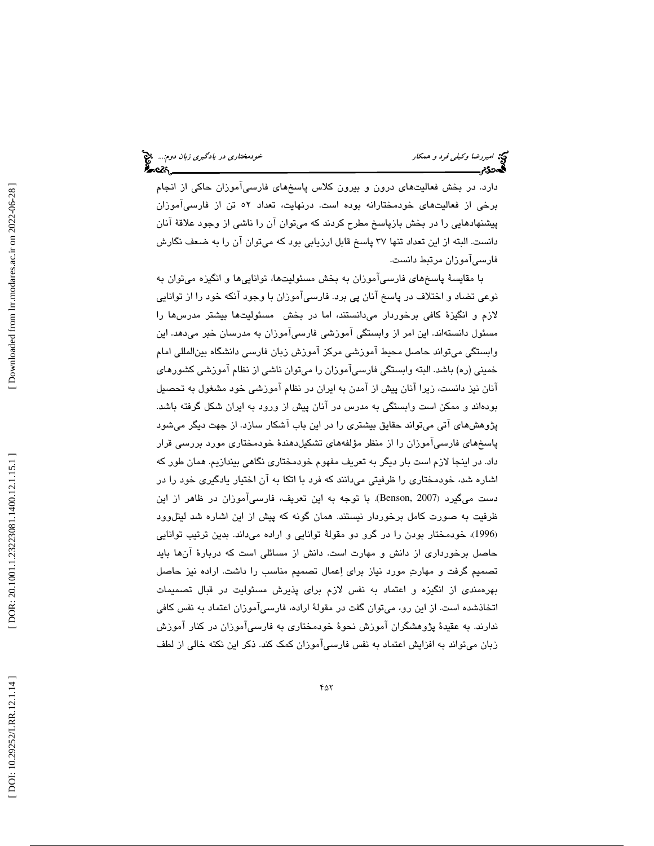دارد. در بخش فعاليتهاي درون و بيرون كلاس پاسخهاي فارسيآموزان حاكي از انجام برخی از فعالیتهای خودمختارانه بوده است. درنهایت، تعداد ۵۲ تن از فارسی|موزان پيشنهادهايي را در بخش بازپاسخ مطرح كردند كه ميتوان آن را ناشي از وجود علاق ة آنان دانست. البته از اين تعداد تنها 37 پاسخ قابل ارزيابي بود كه ميتوان آن را به ضعف نگارش فارسيآموزان مرتبط دانست.

با مقايسهٔ پاسخهاي فارسيآموزان به بخش مسئوليتها، تواناييها و انگيزه ميتوان به نوعي تضاد و اختلاف در پاسخ آنان پي برد. فارسيآموزان با وجود آنكه خود را از توانايي لازم و انگيز ة كافي برخوردار ميدانستند، اما در بخش مسئوليتها بيشتر مدرسها را مسئول دانستهاند. اين امر از وابستگي آموزشي فارسيآموزان به مدرسان خبر ميدهد. اين وابستگي ميتواند حاصل محيط آموزشي مركز آموزش زبان فارسي دانشگاه بينالمللي امام خميني (ره) باشد. البته وابستگي فارسيآموزان را ميتوان ناشي از نظام آموزشي كشورهاي آنان نيز دانست، زيرا آنان پيش از آمدن به ايران در نظام آموزشي خود مشغول به تحصيل بودهاند و ممكن است وابستگي به مدرس در آنان پيش از ورود به ايران شكل گرفته باشد. پژوهشهاي آتي ميتواند حقايق بيشتري را در اين باب آشكار سازد. از جهت ديگر ميشود پاسخهاي فارسيآموزان را از منظر مؤلفههاي تشكيلدهند ة خودمختاري مورد بررسي قرار داد. در اينجا لازم است بار ديگر به تعريف مفهوم خودمختاري نگاهي بيندازيم. همان طور كه اشاره شد، خودمختاری را ظرفيتی میدانند که فرد با اتکا به ان اختيار يادگيری خود را در دست میگیرد (Benson, 2007). با توجه به این تعریف، فارسیآموزان در ظاهر از این ظرفيت به صورت كامل برخوردار نيستند. همان گونه كه پيش از اين اشاره شد ليتلوود (1996)، خودمختار بودن را در گرو دو مقولهٔ توانايي و اراده ميداند. بدين ترتيب توانايي حاصل برخورداري از دانش و مهارت است. دانش از مسائلي است كه دربار ة آنها بايد تصميم گرفت و مهارت مورد نياز براي اعمال تصميم مناسب را داشت. اراده نيز حاصل بهرهمندي از انگيزه و اعتماد به نفس لازم براي پذيرش مسئوليت در قبال تصميمات اتخاذشده است. از اين رو، ميتوان گفت در مقول ة اراده، فارسيآموزان اعتماد به نفس كافي ندارند. به عقیدهٔ پژوهشگران آموزش نحوهٔ خودمختاری به فارسیآموزان در كنار آموزش زبان ميتواند به افزايش اعتماد به نفس فارسيآموزان كمك كند. ذكر اين نكته خالي از لطف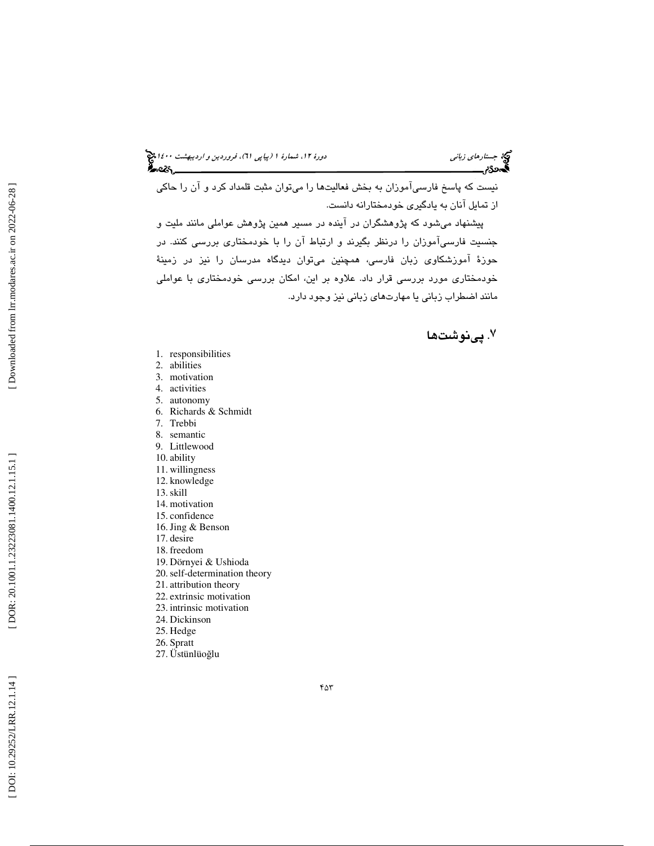نيست كه پاسخ فارسيآموزان به بخش فعاليتها را ميتوان مثبت قلمداد كرد و آن را حاكي از تمايل آنان به يادگيري خودمختارانه دانست.

پيشنهاد ميشود كه پژوهشگران در آينده در مسير همين پژوهش عواملي مانند مليت و جنسيت فارسيآموزان را درنظر بگيرند و ارتباط آن را با خودمختاري بررسي كنند. در حوزهٔ آموزشكاوی زبان فارسی، همچنین میتوان دیدگاه مدرسان را نیز در زمینهٔ خودمختاري مورد بررسي قرار داد. علاوه بر اين، امكان بررسي خودمختاري با عواملي مانند اضطراب زباني يا مهارتهاي زباني نيز وجود دارد.

. پينوشت ها ٧

- 1. responsibilities
- 2. abilities
- 3. motivation
- 4. activities
- 5. autonomy 6. Richards & Schmidt
- 7. Trebbi
- 8. semantic
- 9. Littlewood
- 10. ability
- 11. willingness
- 12. knowledge
- 13.skill
- 14. motivation
- 15. confidence
- 16.Jing & Benson
- 17. desire
- 18. freedom
- 19. Dörnyei & Ushioda
- 20.self-determination theory
- 21. attribution theory
- 22. extrinsic motivation
- 23. intrinsic motivation
- 24. Dickinson
- 25. Hedge
- 26. Spratt
- 27. Üstünlüo ğlu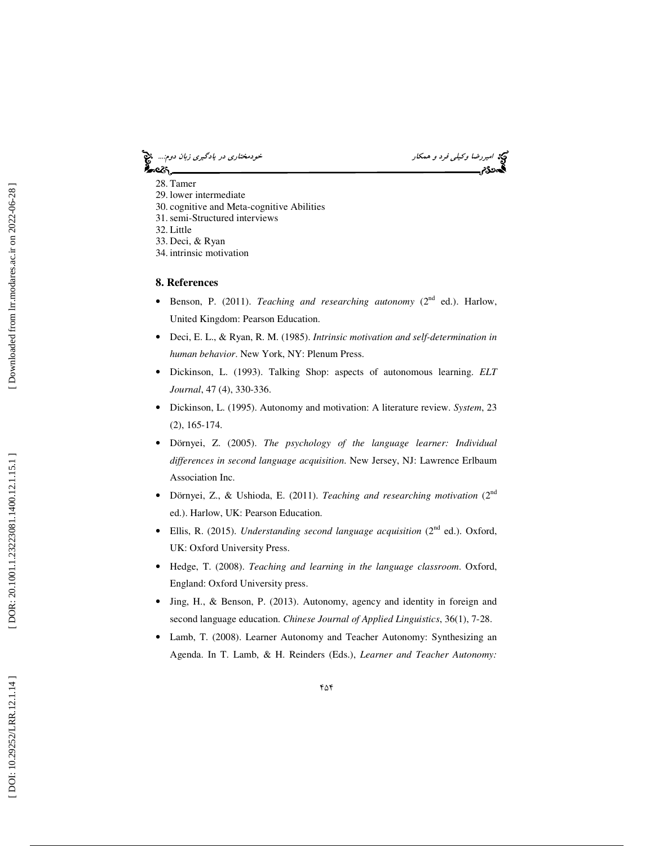امير اسير اسير استفاده و همكار خودمختاري در يادگيري زبان دوم.... اميمه<br>**الیدن کودر خودمختاري در سال دوم خودمختاري در استفاده است.**<br>**الیدن کودر خودمختاري به دوم خودمختاري در سال دوم خودمختاري در يادگي در استفاده است.** આસ્કિ

28. Tamer

- 29. lower intermediate
- 30. cognitive and Meta-cognitive Abilities
- 31.semi-Structured interviews
- 32. Little
- 33. Deci, & Ryan
- 34. intrinsic motivation

#### **8. References**

- Benson, P. (2011). *Teaching and researching autonomy* (2<sup>nd</sup> ed.). Harlow, United Kingdom: Pearson Education.
- Deci, E. L., & Ryan, R. M. (1985). *Intrinsic motivation and self-determination in human behavior*. New York, NY: Plenum Press.
- Dickinson, L. (1993). Talking Shop: aspects of autonomous learning. *ELT Journal*, 47 (4), 330-336.
- Dickinson, L. (1995). Autonomy and motivation: A literature review. *System*, 23 (2), 165-174.
- Dörnyei, Z. (2005). *The psychology of the language learner: Individual differences in second language acquisition*. New Jersey, NJ: Lawrence Erlbaum Association Inc.
- Dörnyei, Z., & Ushioda, E. (2011). *Teaching and researching motivation* (2nd ed.). Harlow, UK: Pearson Education.
- Ellis, R. (2015). *Understanding second language acquisition* (2<sup>nd</sup> ed.). Oxford, UK: Oxford University Press.
- Hedge, T. (2008). *Teaching and learning in the language classroom*. Oxford, England: Oxford University press.
- Jing, H., & Benson, P. (2013). Autonomy, agency and identity in foreign and second language education. *Chinese Journal of Applied Linguistics*, 36(1), 7-28.
- Lamb, T. (2008). Learner Autonomy and Teacher Autonomy: Synthesizing an Agenda. In T. Lamb, & H. Reinders (Eds.), *Learner and Teacher Autonomy:*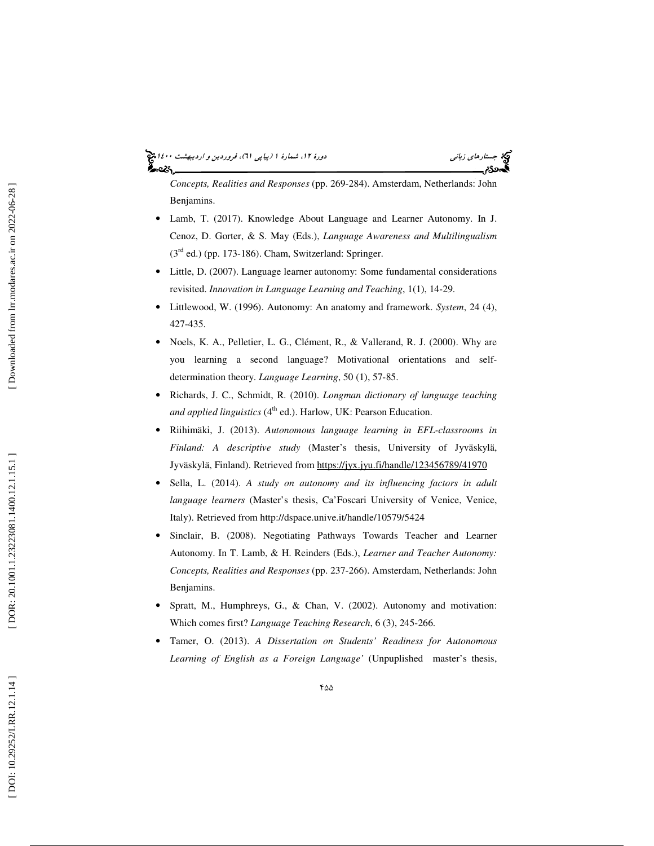# جستار*هاي زباني هي المرديبهشت 1400 ه*ورو 11، شمارة 1 (پياپي 71)، فر*وردين و ارديبهشت 14*00 هج

*Concepts, Realities and Responses* (pp. 269-284). Amsterdam, Netherlands: John Benjamins.

- Lamb, T. (2017). Knowledge About Language and Learner Autonomy. In J. Cenoz, D. Gorter, & S. May (Eds.), *Language Awareness and Multilingualism*  $(3<sup>rd</sup>$  ed.) (pp. 173-186). Cham, Switzerland: Springer.
- Little, D. (2007). Language learner autonomy: Some fundamental considerations revisited. *Innovation in Language Learning and Teaching*, 1(1), 14-29.
- Littlewood, W. (1996). Autonomy: An anatomy and framework. *System*, 24 (4), 427-435.
- Noels, K. A., Pelletier, L. G., Clément, R., & Vallerand, R. J. (2000). Why are you learning a second language? Motivational orientations and selfdetermination theory. *Language Learning*, 50 (1), 57-85.
- Richards, J. C., Schmidt, R. (2010). *Longman dictionary of language teaching*  and applied linguistics (4<sup>th</sup> ed.). Harlow, UK: Pearson Education.
- Riihimäki, J. (2013). *Autonomous language learning in EFL-classrooms in Finland: A descriptive study* (Master's thesis, University of Jyväskylä, Jyväskylä, Finland). Retrieved from https://jyx.jyu.fi/handle/123456789/41970
- Sella, L. (2014). *A study on autonomy and its influencing factors in adult language learners* (Master's thesis, Ca'Foscari University of Venice, Venice, Italy). Retrieved from http://dspace.unive.it/handle/10579/5424
- Sinclair, B. (2008). Negotiating Pathways Towards Teacher and Learner Autonomy. In T. Lamb, & H. Reinders (Eds.), *Learner and Teacher Autonomy: Concepts, Realities and Responses* (pp. 237-266). Amsterdam, Netherlands: John Benjamins.
- Spratt, M., Humphreys, G., & Chan, V. (2002). Autonomy and motivation: Which comes first? *Language Teaching Research*, 6 (3), 245-266.
- Tamer, O. (2013). *A Dissertation on Students' Readiness for Autonomous Learning of English as a Foreign Language'* (Unpuplished master's thesis,